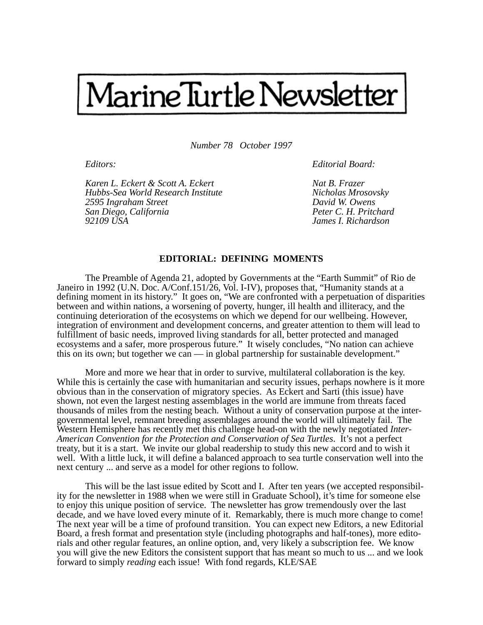# MarineTurtleNewsletter

*Number 78 October 1997*

Karen L. Eckert & Scott A. Eckert *Collection B. Frazer* Mat B. Frazer<br>Hubbs-Sea World Research Institute *Nicholas Mrosovsky Hubbs-Sea World Research Institute Nicholas Mrosov*<br>2595 Ingraham Street **Nicholas Mrosov**<br>David W. Owens *2595 Ingraham Street David W. Owens San Diego, California<br>92109 USA* 

*Editors: Editorial Board:*

*James I. Richardson* 

# **EDITORIAL: DEFINING MOMENTS**

The Preamble of Agenda 21, adopted by Governments at the "Earth Summit" of Rio de Janeiro in 1992 (U.N. Doc. A/Conf.151/26, Vol. I-IV), proposes that, "Humanity stands at a defining moment in its history." It goes on, "We are confronted with a perpetuation of disparities between and within nations, a worsening of poverty, hunger, ill health and illiteracy, and the continuing deterioration of the ecosystems on which we depend for our wellbeing. However, integration of environment and development concerns, and greater attention to them will lead to fulfillment of basic needs, improved living standards for all, better protected and managed ecosystems and a safer, more prosperous future." It wisely concludes, "No nation can achieve this on its own; but together we can — in global partnership for sustainable development."

More and more we hear that in order to survive, multilateral collaboration is the key. While this is certainly the case with humanitarian and security issues, perhaps nowhere is it more obvious than in the conservation of migratory species. As Eckert and Sarti (this issue) have shown, not even the largest nesting assemblages in the world are immune from threats faced thousands of miles from the nesting beach. Without a unity of conservation purpose at the intergovernmental level, remnant breeding assemblages around the world will ultimately fail. The Western Hemisphere has recently met this challenge head-on with the newly negotiated *Inter-American Convention for the Protection and Conservation of Sea Turtles*. It's not a perfect treaty, but it is a start. We invite our global readership to study this new accord and to wish it well. With a little luck, it will define a balanced approach to sea turtle conservation well into the next century ... and serve as a model for other regions to follow.

This will be the last issue edited by Scott and I. After ten years (we accepted responsibility for the newsletter in 1988 when we were still in Graduate School), it's time for someone else to enjoy this unique position of service. The newsletter has grow tremendously over the last decade, and we have loved every minute of it. Remarkably, there is much more change to come! The next year will be a time of profound transition. You can expect new Editors, a new Editorial Board, a fresh format and presentation style (including photographs and half-tones), more editorials and other regular features, an online option, and, very likely a subscription fee. We know you will give the new Editors the consistent support that has meant so much to us ... and we look forward to simply *reading* each issue! With fond regards, KLE/SAE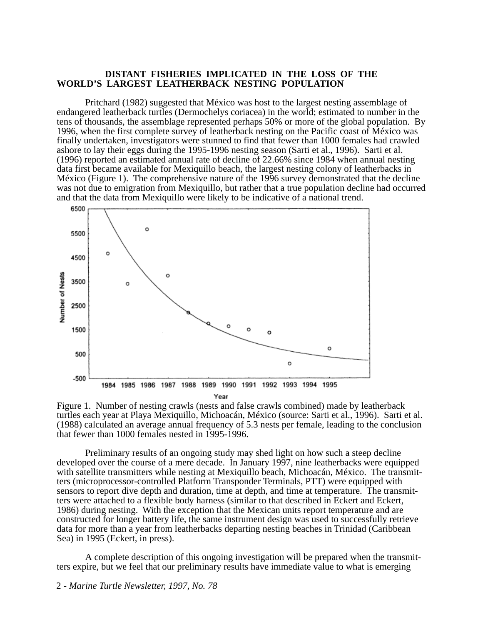# **DISTANT FISHERIES IMPLICATED IN THE LOSS OF THE WORLD'S LARGEST LEATHERBACK NESTING POPULATION**

Pritchard (1982) suggested that México was host to the largest nesting assemblage of endangered leatherback turtles (Dermochelys coriacea) in the world; estimated to number in the tens of thousands, the assemblage represented perhaps 50% or more of the global population. By 1996, when the first complete survey of leatherback nesting on the Pacific coast of México was finally undertaken, investigators were stunned to find that fewer than 1000 females had crawled ashore to lay their eggs during the 1995-1996 nesting season (Sarti et al., 1996). Sarti et al. (1996) reported an estimated annual rate of decline of 22.66% since 1984 when annual nesting data first became available for Mexiquillo beach, the largest nesting colony of leatherbacks in México (Figure 1). The comprehensive nature of the 1996 survey demonstrated that the decline was not due to emigration from Mexiquillo, but rather that a true population decline had occurred and that the data from Mexiquillo were likely to be indicative of a national trend.



Figure 1. Number of nesting crawls (nests and false crawls combined) made by leatherback turtles each year at Playa Mexiquillo, Michoacán, México (source: Sarti et al., 1996). Sarti et al. (1988) calculated an average annual frequency of 5.3 nests per female, leading to the conclusion that fewer than 1000 females nested in 1995-1996.

Preliminary results of an ongoing study may shed light on how such a steep decline developed over the course of a mere decade. In January 1997, nine leatherbacks were equipped with satellite transmitters while nesting at Mexiquillo beach, Michoacán, México. The transmitters (microprocessor-controlled Platform Transponder Terminals, PTT) were equipped with sensors to report dive depth and duration, time at depth, and time at temperature. The transmitters were attached to a flexible body harness (similar to that described in Eckert and Eckert, 1986) during nesting. With the exception that the Mexican units report temperature and are constructed for longer battery life, the same instrument design was used to successfully retrieve data for more than a year from leatherbacks departing nesting beaches in Trinidad (Caribbean Sea) in 1995 (Eckert, in press).

A complete description of this ongoing investigation will be prepared when the transmitters expire, but we feel that our preliminary results have immediate value to what is emerging

## 2 *- Marine Turtle Newsletter, 1997, No. 78*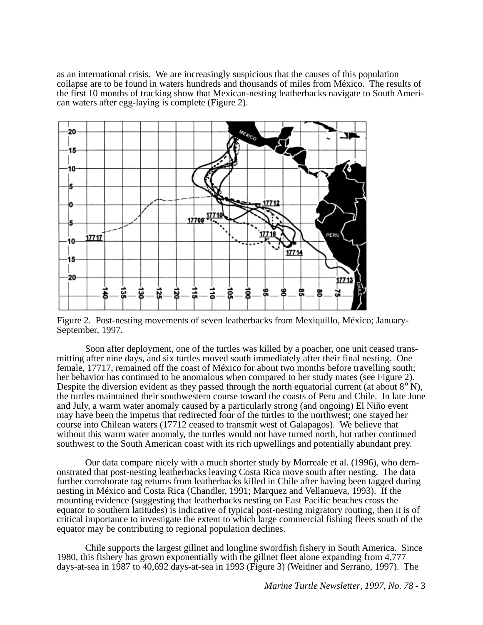as an international crisis. We are increasingly suspicious that the causes of this population collapse are to be found in waters hundreds and thousands of miles from México. The results of the first 10 months of tracking show that Mexican-nesting leatherbacks navigate to South American waters after egg-laying is complete (Figure 2).



Figure 2. Post-nesting movements of seven leatherbacks from Mexiquillo, México; January-September, 1997.

Soon after deployment, one of the turtles was killed by a poacher, one unit ceased transmitting after nine days, and six turtles moved south immediately after their final nesting. One female, 17717, remained off the coast of México for about two months before travelling south; her behavior has continued to be anomalous when compared to her study mates (see Figure 2). Despite the diversion evident as they passed through the north equatorial current (at about 8° N), the turtles maintained their southwestern course toward the coasts of Peru and Chile. In late June and July, a warm water anomaly caused by a particularly strong (and ongoing) El Niño event may have been the impetus that redirected four of the turtles to the northwest; one stayed her course into Chilean waters (17712 ceased to transmit west of Galapagos). We believe that without this warm water anomaly, the turtles would not have turned north, but rather continued southwest to the South American coast with its rich upwellings and potentially abundant prey.

Our data compare nicely with a much shorter study by Morreale et al. (1996), who demonstrated that post-nesting leatherbacks leaving Costa Rica move south after nesting. The data further corroborate tag returns from leatherbacks killed in Chile after having been tagged during nesting in México and Costa Rica (Chandler, 1991; Marquez and Vellanueva, 1993). If the mounting evidence (suggesting that leatherbacks nesting on East Pacific beaches cross the equator to southern latitudes) is indicative of typical post-nesting migratory routing, then it is of critical importance to investigate the extent to which large commercial fishing fleets south of the equator may be contributing to regional population declines.

Chile supports the largest gillnet and longline swordfish fishery in South America. Since 1980, this fishery has grown exponentially with the gillnet fleet alone expanding from 4,777 days-at-sea in 1987 to 40,692 days-at-sea in 1993 (Figure 3) (Weidner and Serrano, 1997). The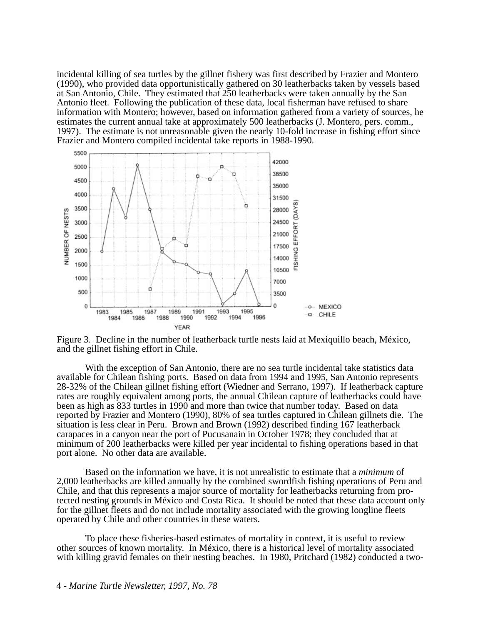incidental killing of sea turtles by the gillnet fishery was first described by Frazier and Montero (1990), who provided data opportunistically gathered on 30 leatherbacks taken by vessels based at San Antonio, Chile. They estimated that 250 leatherbacks were taken annually by the San Antonio fleet. Following the publication of these data, local fisherman have refused to share information with Montero; however, based on information gathered from a variety of sources, he estimates the current annual take at approximately 500 leatherbacks (J. Montero, pers. comm., 1997). The estimate is not unreasonable given the nearly 10-fold increase in fishing effort since Frazier and Montero compiled incidental take reports in 1988-1990.



Figure 3. Decline in the number of leatherback turtle nests laid at Mexiquillo beach, México, and the gillnet fishing effort in Chile.

With the exception of San Antonio, there are no sea turtle incidental take statistics data available for Chilean fishing ports. Based on data from 1994 and 1995, San Antonio represents 28-32% of the Chilean gillnet fishing effort (Wiedner and Serrano, 1997). If leatherback capture rates are roughly equivalent among ports, the annual Chilean capture of leatherbacks could have been as high as 833 turtles in 1990 and more than twice that number today. Based on data reported by Frazier and Montero (1990), 80% of sea turtles captured in Chilean gillnets die. The situation is less clear in Peru. Brown and Brown (1992) described finding 167 leatherback carapaces in a canyon near the port of Pucusanain in October 1978; they concluded that at minimum of 200 leatherbacks were killed per year incidental to fishing operations based in that port alone. No other data are available.

Based on the information we have, it is not unrealistic to estimate that a *minimum* of 2,000 leatherbacks are killed annually by the combined swordfish fishing operations of Peru and Chile, and that this represents a major source of mortality for leatherbacks returning from protected nesting grounds in México and Costa Rica. It should be noted that these data account only for the gillnet fleets and do not include mortality associated with the growing longline fleets operated by Chile and other countries in these waters.

To place these fisheries-based estimates of mortality in context, it is useful to review other sources of known mortality. In México, there is a historical level of mortality associated with killing gravid females on their nesting beaches. In 1980, Pritchard (1982) conducted a two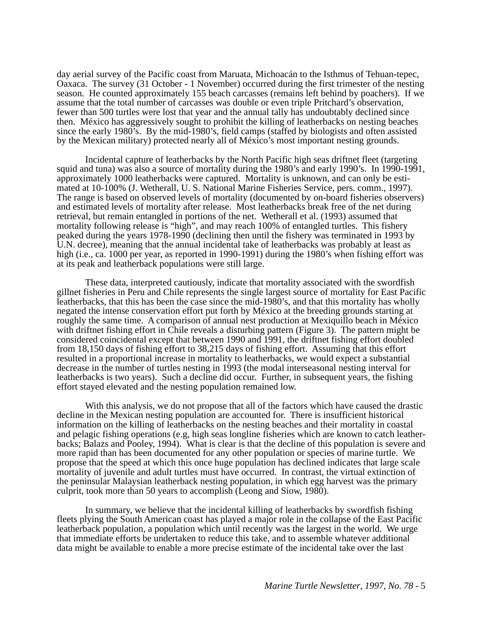day aerial survey of the Pacific coast from Maruata, Michoacán to the Isthmus of Tehuan-tepec, Oaxaca. The survey (31 October - 1 November) occurred during the first trimester of the nesting season. He counted approximately 155 beach carcasses (remains left behind by poachers). If we assume that the total number of carcasses was double or even triple Pritchard's observation, fewer than 500 turtles were lost that year and the annual tally has undoubtably declined since then. México has aggressively sought to prohibit the killing of leatherbacks on nesting beaches since the early 1980's. By the mid-1980's, field camps (staffed by biologists and often assisted by the Mexican military) protected nearly all of México's most important nesting grounds.

Incidental capture of leatherbacks by the North Pacific high seas driftnet fleet (targeting squid and tuna) was also a source of mortality during the 1980's and early 1990's. In 1990-1991, approximately 1000 leatherbacks were captured. Mortality is unknown, and can only be estimated at 10-100% (J. Wetherall, U. S. National Marine Fisheries Service, pers. comm., 1997). The range is based on observed levels of mortality (documented by on-board fisheries observers) and estimated levels of mortality after release. Most leatherbacks break free of the net during retrieval, but remain entangled in portions of the net. Wetherall et al. (1993) assumed that mortality following release is "high", and may reach 100% of entangled turtles. This fishery peaked during the years 1978-1990 (declining then until the fishery was terminated in 1993 by U.N. decree), meaning that the annual incidental take of leatherbacks was probably at least as high (i.e., ca. 1000 per year, as reported in 1990-1991) during the 1980's when fishing effort was at its peak and leatherback populations were still large.

These data, interpreted cautiously, indicate that mortality associated with the swordfish gillnet fisheries in Peru and Chile represents the single largest source of mortality for East Pacific leatherbacks, that this has been the case since the mid-1980's, and that this mortality has wholly negated the intense conservation effort put forth by México at the breeding grounds starting at roughly the same time. A comparison of annual nest production at Mexiquillo beach in México with driftnet fishing effort in Chile reveals a disturbing pattern (Figure 3). The pattern might be considered coincidental except that between 1990 and 1991, the driftnet fishing effort doubled from 18,150 days of fishing effort to 38,215 days of fishing effort. Assuming that this effort resulted in a proportional increase in mortality to leatherbacks, we would expect a substantial decrease in the number of turtles nesting in 1993 (the modal interseasonal nesting interval for leatherbacks is two years). Such a decline did occur. Further, in subsequent years, the fishing effort stayed elevated and the nesting population remained low.

With this analysis, we do not propose that all of the factors which have caused the drastic decline in the Mexican nesting population are accounted for. There is insufficient historical information on the killing of leatherbacks on the nesting beaches and their mortality in coastal and pelagic fishing operations (e.g, high seas longline fisheries which are known to catch leatherbacks; Balazs and Pooley, 1994). What is clear is that the decline of this population is severe and more rapid than has been documented for any other population or species of marine turtle. We propose that the speed at which this once huge population has declined indicates that large scale mortality of juvenile and adult turtles must have occurred. In contrast, the virtual extinction of the peninsular Malaysian leatherback nesting population, in which egg harvest was the primary culprit, took more than 50 years to accomplish (Leong and Siow, 1980).

In summary, we believe that the incidental killing of leatherbacks by swordfish fishing fleets plying the South American coast has played a major role in the collapse of the East Pacific leatherback population, a population which until recently was the largest in the world. We urge that immediate efforts be undertaken to reduce this take, and to assemble whatever additional data might be available to enable a more precise estimate of the incidental take over the last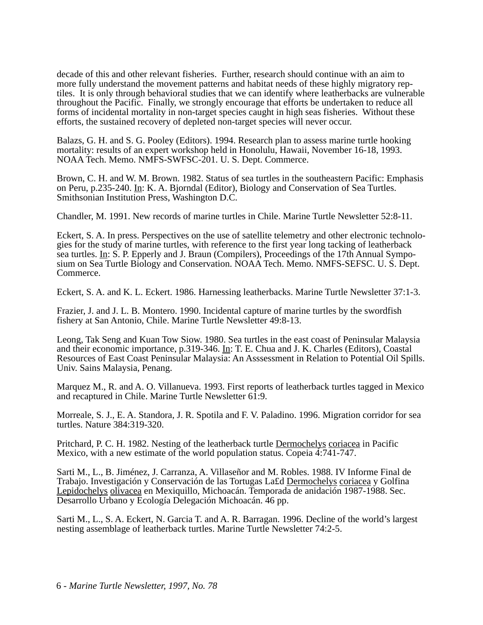decade of this and other relevant fisheries. Further, research should continue with an aim to more fully understand the movement patterns and habitat needs of these highly migratory reptiles. It is only through behavioral studies that we can identify where leatherbacks are vulnerable throughout the Pacific. Finally, we strongly encourage that efforts be undertaken to reduce all forms of incidental mortality in non-target species caught in high seas fisheries. Without these efforts, the sustained recovery of depleted non-target species will never occur.

Balazs, G. H. and S. G. Pooley (Editors). 1994. Research plan to assess marine turtle hooking mortality: results of an expert workshop held in Honolulu, Hawaii, November 16-18, 1993. NOAA Tech. Memo. NMFS-SWFSC-201. U. S. Dept. Commerce.

Brown, C. H. and W. M. Brown. 1982. Status of sea turtles in the southeastern Pacific: Emphasis on Peru, p.235-240. In: K. A. Bjorndal (Editor), Biology and Conservation of Sea Turtles. Smithsonian Institution Press, Washington D.C.

Chandler, M. 1991. New records of marine turtles in Chile. Marine Turtle Newsletter 52:8-11.

Eckert, S. A. In press. Perspectives on the use of satellite telemetry and other electronic technologies for the study of marine turtles, with reference to the first year long tacking of leatherback sea turtles. In: S. P. Epperly and J. Braun (Compilers), Proceedings of the 17th Annual Symposium on Sea Turtle Biology and Conservation. NOAA Tech. Memo. NMFS-SEFSC. U. S. Dept. Commerce.

Eckert, S. A. and K. L. Eckert. 1986. Harnessing leatherbacks. Marine Turtle Newsletter 37:1-3.

Frazier, J. and J. L. B. Montero. 1990. Incidental capture of marine turtles by the swordfish fishery at San Antonio, Chile. Marine Turtle Newsletter 49:8-13.

Leong, Tak Seng and Kuan Tow Siow. 1980. Sea turtles in the east coast of Peninsular Malaysia and their economic importance, p.319-346. In: T. E. Chua and J. K. Charles (Editors), Coastal Resources of East Coast Peninsular Malaysia: An Asssessment in Relation to Potential Oil Spills. Univ. Sains Malaysia, Penang.

Marquez M., R. and A. O. Villanueva. 1993. First reports of leatherback turtles tagged in Mexico and recaptured in Chile. Marine Turtle Newsletter 61:9.

Morreale, S. J., E. A. Standora, J. R. Spotila and F. V. Paladino. 1996. Migration corridor for sea turtles. Nature 384:319-320.

Pritchard, P. C. H. 1982. Nesting of the leatherback turtle Dermochelys coriacea in Pacific Mexico, with a new estimate of the world population status. Copeia 4:741-747.

Sarti M., L., B. Jiménez, J. Carranza, A. Villaseñor and M. Robles. 1988. IV Informe Final de Trabajo. Investigación y Conservación de las Tortugas La£d Dermochelys coriacea y Golfina Lepidochelys olivacea en Mexiquillo, Michoacán. Temporada de anidación 1987-1988. Sec. Desarrollo Urbano y Ecología Delegación Michoacán. 46 pp.

Sarti M., L., S. A. Eckert, N. Garcia T. and A. R. Barragan. 1996. Decline of the world's largest nesting assemblage of leatherback turtles. Marine Turtle Newsletter 74:2-5.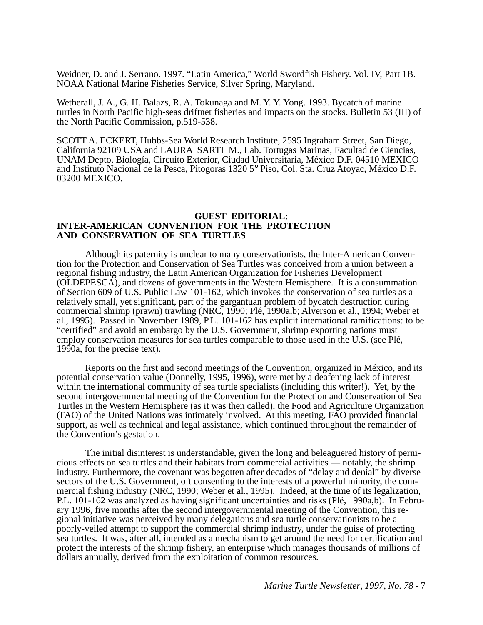Weidner, D. and J. Serrano. 1997. "Latin America," World Swordfish Fishery. Vol. IV, Part 1B. NOAA National Marine Fisheries Service, Silver Spring, Maryland.

Wetherall, J. A., G. H. Balazs, R. A. Tokunaga and M. Y. Y. Yong. 1993. Bycatch of marine turtles in North Pacific high-seas driftnet fisheries and impacts on the stocks. Bulletin 53 (III) of the North Pacific Commission, p.519-538.

SCOTT A. ECKERT, Hubbs-Sea World Research Institute, 2595 Ingraham Street, San Diego, California 92109 USA and LAURA SARTI M., Lab. Tortugas Marinas, Facultad de Ciencias, UNAM Depto. Biología, Circuito Exterior, Ciudad Universitaria, México D.F. 04510 MEXICO and Instituto Nacional de la Pesca, Pitogoras 1320 5° Piso, Col. Sta. Cruz Atoyac, México D.F. 03200 MEXICO.

# **GUEST EDITORIAL: INTER-AMERICAN CONVENTION FOR THE PROTECTION AND CONSERVATION OF SEA TURTLES**

Although its paternity is unclear to many conservationists, the Inter-American Convention for the Protection and Conservation of Sea Turtles was conceived from a union between a regional fishing industry, the Latin American Organization for Fisheries Development (OLDEPESCA), and dozens of governments in the Western Hemisphere. It is a consummation of Section 609 of U.S. Public Law 101-162, which invokes the conservation of sea turtles as a relatively small, yet significant, part of the gargantuan problem of bycatch destruction during commercial shrimp (prawn) trawling (NRC, 1990; Plé, 1990a,b; Alverson et al., 1994; Weber et al., 1995). Passed in November 1989, P.L. 101-162 has explicit international ramifications: to be "certified" and avoid an embargo by the U.S. Government, shrimp exporting nations must employ conservation measures for sea turtles comparable to those used in the U.S. (see Plé, 1990a, for the precise text).

Reports on the first and second meetings of the Convention, organized in México, and its potential conservation value (Donnelly, 1995, 1996), were met by a deafening lack of interest within the international community of sea turtle specialists (including this writer!). Yet, by the second intergovernmental meeting of the Convention for the Protection and Conservation of Sea Turtles in the Western Hemisphere (as it was then called), the Food and Agriculture Organization (FAO) of the United Nations was intimately involved. At this meeting, FAO provided financial support, as well as technical and legal assistance, which continued throughout the remainder of the Convention's gestation.

The initial disinterest is understandable, given the long and beleaguered history of pernicious effects on sea turtles and their habitats from commercial activities — notably, the shrimp industry. Furthermore, the covenant was begotten after decades of "delay and denial" by diverse sectors of the U.S. Government, oft consenting to the interests of a powerful minority, the commercial fishing industry (NRC, 1990; Weber et al., 1995). Indeed, at the time of its legalization, P.L. 101-162 was analyzed as having significant uncertainties and risks (Plé, 1990a,b). In February 1996, five months after the second intergovernmental meeting of the Convention, this regional initiative was perceived by many delegations and sea turtle conservationists to be a poorly-veiled attempt to support the commercial shrimp industry, under the guise of protecting sea turtles. It was, after all, intended as a mechanism to get around the need for certification and protect the interests of the shrimp fishery, an enterprise which manages thousands of millions of dollars annually, derived from the exploitation of common resources.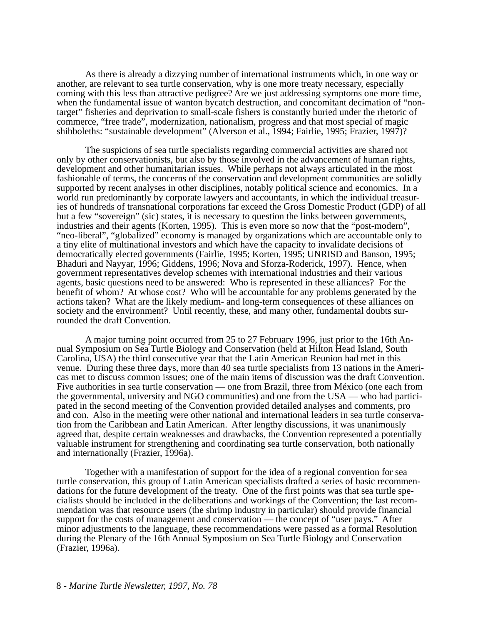As there is already a dizzying number of international instruments which, in one way or another, are relevant to sea turtle conservation, why is one more treaty necessary, especially coming with this less than attractive pedigree? Are we just addressing symptoms one more time, when the fundamental issue of wanton bycatch destruction, and concomitant decimation of "nontarget" fisheries and deprivation to small-scale fishers is constantly buried under the rhetoric of commerce, "free trade", modernization, nationalism, progress and that most special of magic shibboleths: "sustainable development" (Alverson et al., 1994; Fairlie, 1995; Frazier, 1997)?

The suspicions of sea turtle specialists regarding commercial activities are shared not only by other conservationists, but also by those involved in the advancement of human rights, development and other humanitarian issues. While perhaps not always articulated in the most fashionable of terms, the concerns of the conservation and development communities are solidly supported by recent analyses in other disciplines, notably political science and economics. In a world run predominantly by corporate lawyers and accountants, in which the individual treasuries of hundreds of transnational corporations far exceed the Gross Domestic Product (GDP) of all but a few "sovereign" (sic) states, it is necessary to question the links between governments, industries and their agents (Korten, 1995). This is even more so now that the "post-modern", "neo-liberal", "globalized" economy is managed by organizations which are accountable only to a tiny elite of multinational investors and which have the capacity to invalidate decisions of democratically elected governments (Fairlie, 1995; Korten, 1995; UNRISD and Banson, 1995; Bhaduri and Nayyar, 1996; Giddens, 1996; Nova and Sforza-Roderick, 1997). Hence, when government representatives develop schemes with international industries and their various agents, basic questions need to be answered: Who is represented in these alliances? For the benefit of whom? At whose cost? Who will be accountable for any problems generated by the actions taken? What are the likely medium- and long-term consequences of these alliances on society and the environment? Until recently, these, and many other, fundamental doubts surrounded the draft Convention.

A major turning point occurred from 25 to 27 February 1996, just prior to the 16th Annual Symposium on Sea Turtle Biology and Conservation (held at Hilton Head Island, South Carolina, USA) the third consecutive year that the Latin American Reunion had met in this venue. During these three days, more than 40 sea turtle specialists from 13 nations in the Americas met to discuss common issues; one of the main items of discussion was the draft Convention. Five authorities in sea turtle conservation — one from Brazil, three from México (one each from the governmental, university and NGO communities) and one from the USA — who had participated in the second meeting of the Convention provided detailed analyses and comments, pro and con. Also in the meeting were other national and international leaders in sea turtle conservation from the Caribbean and Latin American. After lengthy discussions, it was unanimously agreed that, despite certain weaknesses and drawbacks, the Convention represented a potentially valuable instrument for strengthening and coordinating sea turtle conservation, both nationally and internationally (Frazier, 1996a).

Together with a manifestation of support for the idea of a regional convention for sea turtle conservation, this group of Latin American specialists drafted a series of basic recommendations for the future development of the treaty. One of the first points was that sea turtle specialists should be included in the deliberations and workings of the Convention; the last recommendation was that resource users (the shrimp industry in particular) should provide financial support for the costs of management and conservation — the concept of "user pays." After minor adjustments to the language, these recommendations were passed as a formal Resolution during the Plenary of the 16th Annual Symposium on Sea Turtle Biology and Conservation (Frazier, 1996a).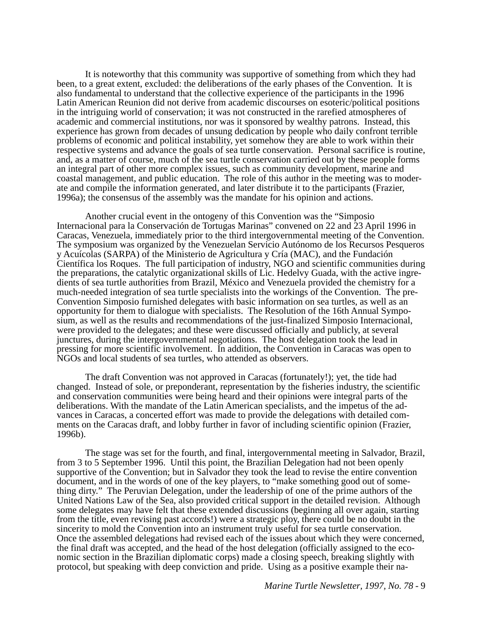It is noteworthy that this community was supportive of something from which they had been, to a great extent, excluded: the deliberations of the early phases of the Convention. It is also fundamental to understand that the collective experience of the participants in the 1996 Latin American Reunion did not derive from academic discourses on esoteric/political positions in the intriguing world of conservation; it was not constructed in the rarefied atmospheres of academic and commercial institutions, nor was it sponsored by wealthy patrons. Instead, this experience has grown from decades of unsung dedication by people who daily confront terrible problems of economic and political instability, yet somehow they are able to work within their respective systems and advance the goals of sea turtle conservation. Personal sacrifice is routine, and, as a matter of course, much of the sea turtle conservation carried out by these people forms an integral part of other more complex issues, such as community development, marine and coastal management, and public education. The role of this author in the meeting was to moderate and compile the information generated, and later distribute it to the participants (Frazier, 1996a); the consensus of the assembly was the mandate for his opinion and actions.

Another crucial event in the ontogeny of this Convention was the "Simposio Internacional para la Conservación de Tortugas Marinas" convened on 22 and 23 April 1996 in Caracas, Venezuela, immediately prior to the third intergovernmental meeting of the Convention. The symposium was organized by the Venezuelan Servicio Autónomo de los Recursos Pesqueros y Acuícolas (SARPA) of the Ministerio de Agricultura y Cría (MAC), and the Fundación Científica los Roques. The full participation of industry, NGO and scientific communities during the preparations, the catalytic organizational skills of Lic. Hedelvy Guada, with the active ingredients of sea turtle authorities from Brazil, México and Venezuela provided the chemistry for a much-needed integration of sea turtle specialists into the workings of the Convention. The pre-Convention Simposio furnished delegates with basic information on sea turtles, as well as an opportunity for them to dialogue with specialists. The Resolution of the 16th Annual Symposium, as well as the results and recommendations of the just-finalized Simposio Internacional, were provided to the delegates; and these were discussed officially and publicly, at several junctures, during the intergovernmental negotiations. The host delegation took the lead in pressing for more scientific involvement. In addition, the Convention in Caracas was open to NGOs and local students of sea turtles, who attended as observers.

The draft Convention was not approved in Caracas (fortunately!); yet, the tide had changed. Instead of sole, or preponderant, representation by the fisheries industry, the scientific and conservation communities were being heard and their opinions were integral parts of the deliberations. With the mandate of the Latin American specialists, and the impetus of the advances in Caracas, a concerted effort was made to provide the delegations with detailed comments on the Caracas draft, and lobby further in favor of including scientific opinion (Frazier, 1996b).

The stage was set for the fourth, and final, intergovernmental meeting in Salvador, Brazil, from 3 to 5 September 1996. Until this point, the Brazilian Delegation had not been openly supportive of the Convention; but in Salvador they took the lead to revise the entire convention document, and in the words of one of the key players, to "make something good out of something dirty." The Peruvian Delegation, under the leadership of one of the prime authors of the United Nations Law of the Sea, also provided critical support in the detailed revision. Although some delegates may have felt that these extended discussions (beginning all over again, starting from the title, even revising past accords!) were a strategic ploy, there could be no doubt in the sincerity to mold the Convention into an instrument truly useful for sea turtle conservation. Once the assembled delegations had revised each of the issues about which they were concerned, the final draft was accepted, and the head of the host delegation (officially assigned to the economic section in the Brazilian diplomatic corps) made a closing speech, breaking slightly with protocol, but speaking with deep conviction and pride. Using as a positive example their na-

*Marine Turtle Newsletter, 1997, No. 78 -* 9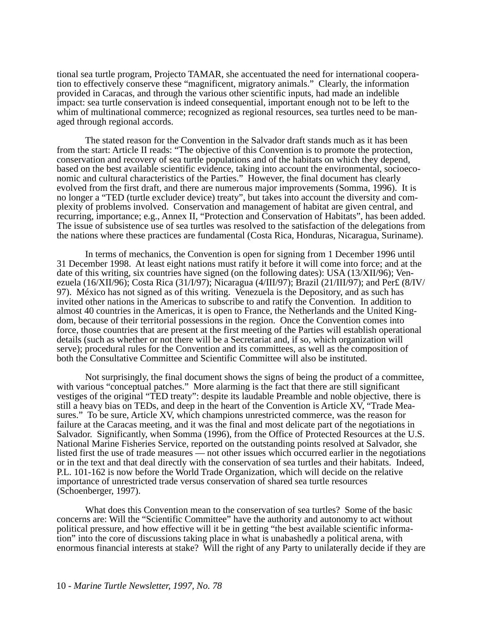tional sea turtle program, Projecto TAMAR, she accentuated the need for international cooperation to effectively conserve these "magnificent, migratory animals." Clearly, the information provided in Caracas, and through the various other scientific inputs, had made an indelible impact: sea turtle conservation is indeed consequential, important enough not to be left to the whim of multinational commerce; recognized as regional resources, sea turtles need to be managed through regional accords.

The stated reason for the Convention in the Salvador draft stands much as it has been from the start: Article II reads: "The objective of this Convention is to promote the protection, conservation and recovery of sea turtle populations and of the habitats on which they depend, based on the best available scientific evidence, taking into account the environmental, socioeconomic and cultural characteristics of the Parties." However, the final document has clearly evolved from the first draft, and there are numerous major improvements (Somma, 1996). It is no longer a "TED (turtle excluder device) treaty", but takes into account the diversity and complexity of problems involved. Conservation and management of habitat are given central, and recurring, importance; e.g., Annex II, "Protection and Conservation of Habitats", has been added. The issue of subsistence use of sea turtles was resolved to the satisfaction of the delegations from the nations where these practices are fundamental (Costa Rica, Honduras, Nicaragua, Suriname).

In terms of mechanics, the Convention is open for signing from 1 December 1996 until 31 December 1998. At least eight nations must ratify it before it will come into force; and at the date of this writing, six countries have signed (on the following dates): USA (13/XII/96); Venezuela (16/XII/96); Costa Rica (31/I/97); Nicaragua (4/III/97); Brazil (21/III/97); and Per£ (8/IV/ 97). México has not signed as of this writing. Venezuela is the Depository, and as such has invited other nations in the Americas to subscribe to and ratify the Convention. In addition to almost 40 countries in the Americas, it is open to France, the Netherlands and the United Kingdom, because of their territorial possessions in the region. Once the Convention comes into force, those countries that are present at the first meeting of the Parties will establish operational details (such as whether or not there will be a Secretariat and, if so, which organization will serve); procedural rules for the Convention and its committees, as well as the composition of both the Consultative Committee and Scientific Committee will also be instituted.

Not surprisingly, the final document shows the signs of being the product of a committee, with various "conceptual patches." More alarming is the fact that there are still significant vestiges of the original "TED treaty": despite its laudable Preamble and noble objective, there is still a heavy bias on TEDs, and deep in the heart of the Convention is Article XV, "Trade Measures." To be sure, Article XV, which champions unrestricted commerce, was the reason for failure at the Caracas meeting, and it was the final and most delicate part of the negotiations in Salvador. Significantly, when Somma (1996), from the Office of Protected Resources at the U.S. National Marine Fisheries Service, reported on the outstanding points resolved at Salvador, she listed first the use of trade measures — not other issues which occurred earlier in the negotiations or in the text and that deal directly with the conservation of sea turtles and their habitats. Indeed, P.L. 101-162 is now before the World Trade Organization, which will decide on the relative importance of unrestricted trade versus conservation of shared sea turtle resources (Schoenberger, 1997).

What does this Convention mean to the conservation of sea turtles? Some of the basic concerns are: Will the "Scientific Committee" have the authority and autonomy to act without political pressure, and how effective will it be in getting "the best available scientific information" into the core of discussions taking place in what is unabashedly a political arena, with enormous financial interests at stake? Will the right of any Party to unilaterally decide if they are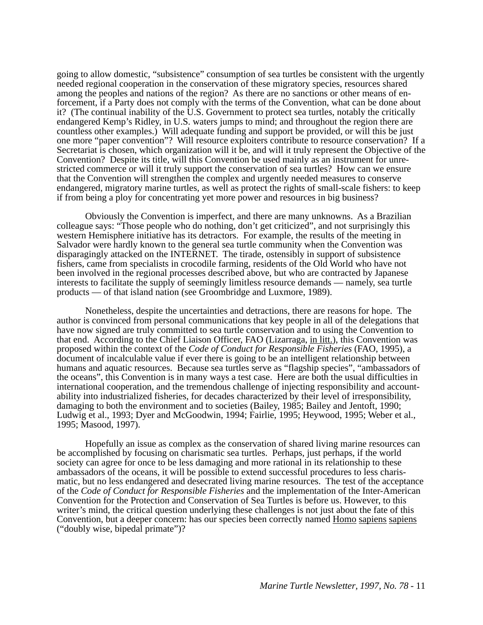going to allow domestic, "subsistence" consumption of sea turtles be consistent with the urgently needed regional cooperation in the conservation of these migratory species, resources shared among the peoples and nations of the region? As there are no sanctions or other means of enforcement, if a Party does not comply with the terms of the Convention, what can be done about it? (The continual inability of the U.S. Government to protect sea turtles, notably the critically endangered Kemp's Ridley, in U.S. waters jumps to mind; and throughout the region there are countless other examples.) Will adequate funding and support be provided, or will this be just one more "paper convention"? Will resource exploiters contribute to resource conservation? If a Secretariat is chosen, which organization will it be, and will it truly represent the Objective of the Convention? Despite its title, will this Convention be used mainly as an instrument for unrestricted commerce or will it truly support the conservation of sea turtles? How can we ensure that the Convention will strengthen the complex and urgently needed measures to conserve endangered, migratory marine turtles, as well as protect the rights of small-scale fishers: to keep if from being a ploy for concentrating yet more power and resources in big business?

Obviously the Convention is imperfect, and there are many unknowns. As a Brazilian colleague says: "Those people who do nothing, don't get criticized", and not surprisingly this western Hemisphere initiative has its detractors. For example, the results of the meeting in Salvador were hardly known to the general sea turtle community when the Convention was disparagingly attacked on the INTERNET. The tirade, ostensibly in support of subsistence fishers, came from specialists in crocodile farming, residents of the Old World who have not been involved in the regional processes described above, but who are contracted by Japanese interests to facilitate the supply of seemingly limitless resource demands — namely, sea turtle products — of that island nation (see Groombridge and Luxmore, 1989).

Nonetheless, despite the uncertainties and detractions, there are reasons for hope. The author is convinced from personal communications that key people in all of the delegations that have now signed are truly committed to sea turtle conservation and to using the Convention to that end. According to the Chief Liaison Officer, FAO (Lizarraga, in litt.), this Convention was proposed within the context of the *Code of Conduct for Responsible Fisheries* (FAO, 1995), a document of incalculable value if ever there is going to be an intelligent relationship between humans and aquatic resources. Because sea turtles serve as "flagship species", "ambassadors of the oceans", this Convention is in many ways a test case. Here are both the usual difficulties in international cooperation, and the tremendous challenge of injecting responsibility and accountability into industrialized fisheries, for decades characterized by their level of irresponsibility, damaging to both the environment and to societies (Bailey, 1985; Bailey and Jentoft, 1990; Ludwig et al., 1993; Dyer and McGoodwin, 1994; Fairlie, 1995; Heywood, 1995; Weber et al., 1995; Masood, 1997).

Hopefully an issue as complex as the conservation of shared living marine resources can be accomplished by focusing on charismatic sea turtles. Perhaps, just perhaps, if the world society can agree for once to be less damaging and more rational in its relationship to these ambassadors of the oceans, it will be possible to extend successful procedures to less charismatic, but no less endangered and desecrated living marine resources. The test of the acceptance of the *Code of Conduct for Responsible Fisheries* and the implementation of the Inter-American Convention for the Protection and Conservation of Sea Turtles is before us. However, to this writer's mind, the critical question underlying these challenges is not just about the fate of this Convention, but a deeper concern: has our species been correctly named <u>Homo sapiens sapiens</u> ("doubly wise, bipedal primate")?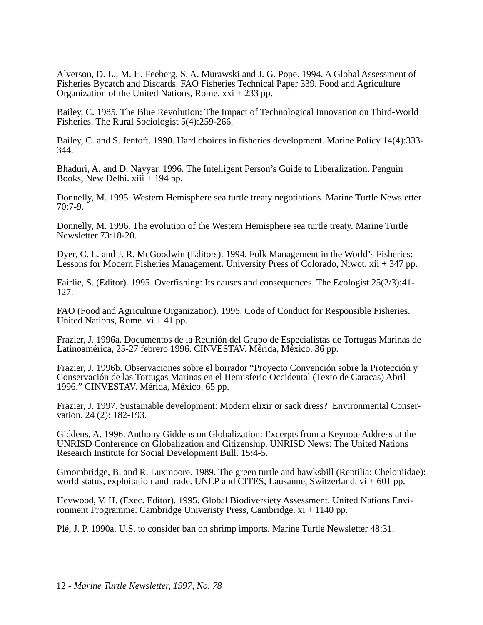Alverson, D. L., M. H. Feeberg, S. A. Murawski and J. G. Pope. 1994. A Global Assessment of Fisheries Bycatch and Discards. FAO Fisheries Technical Paper 339. Food and Agriculture Organization of the United Nations, Rome.  $xxi + 233$  pp.

Bailey, C. 1985. The Blue Revolution: The Impact of Technological Innovation on Third-World Fisheries. The Rural Sociologist 5(4):259-266.

Bailey, C. and S. Jentoft. 1990. Hard choices in fisheries development. Marine Policy 14(4):333- 344.

Bhaduri, A. and D. Nayyar. 1996. The Intelligent Person's Guide to Liberalization. Penguin Books, New Delhi. xiii + 194 pp.

Donnelly, M. 1995. Western Hemisphere sea turtle treaty negotiations. Marine Turtle Newsletter 70:7-9.

Donnelly, M. 1996. The evolution of the Western Hemisphere sea turtle treaty. Marine Turtle Newsletter 73:18-20.

Dyer, C. L. and J. R. McGoodwin (Editors). 1994. Folk Management in the World's Fisheries: Lessons for Modern Fisheries Management. University Press of Colorado, Niwot. xii + 347 pp.

Fairlie, S. (Editor). 1995. Overfishing: Its causes and consequences. The Ecologist 25(2/3):41- 127.

FAO (Food and Agriculture Organization). 1995. Code of Conduct for Responsible Fisheries. United Nations, Rome.  $vi + 41$  pp.

Frazier, J. 1996a. Documentos de la Reunión del Grupo de Especialistas de Tortugas Marinas de Latinoamérica, 25-27 febrero 1996. CINVESTAV. Mérida, México. 36 pp.

Frazier, J. 1996b. Observaciones sobre el borrador "Proyecto Convención sobre la Protección y Conservación de las Tortugas Marinas en el Hemisferio Occidental (Texto de Caracas) Abril 1996." CINVESTAV. Mérida, México. 65 pp.

Frazier, J. 1997. Sustainable development: Modern elixir or sack dress? Environmental Conservation. 24 (2): 182-193.

Giddens, A. 1996. Anthony Giddens on Globalization: Excerpts from a Keynote Address at the UNRISD Conference on Globalization and Citizenship. UNRISD News: The United Nations Research Institute for Social Development Bull. 15:4-5.

Groombridge, B. and R. Luxmoore. 1989. The green turtle and hawksbill (Reptilia: Cheloniidae): world status, exploitation and trade. UNEP and CITES, Lausanne, Switzerland. vi + 601 pp.

Heywood, V. H. (Exec. Editor). 1995. Global Biodiversiety Assessment. United Nations Environment Programme. Cambridge Univeristy Press, Cambridge. xi + 1140 pp.

Plé, J. P. 1990a. U.S. to consider ban on shrimp imports. Marine Turtle Newsletter 48:31.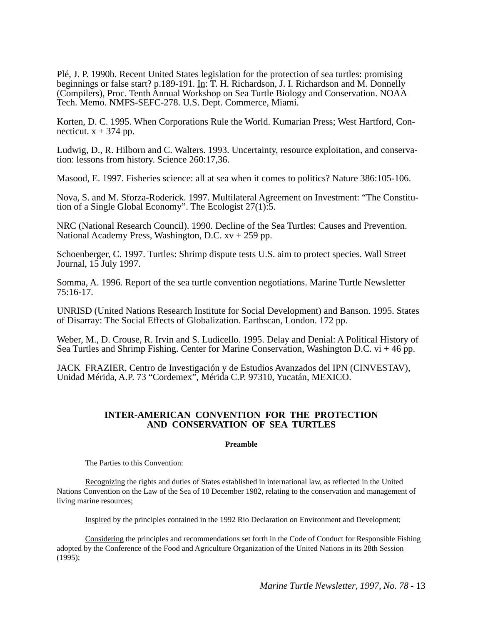Plé, J. P. 1990b. Recent United States legislation for the protection of sea turtles: promising beginnings or false start? p.189-191. In: T. H. Richardson, J. I. Richardson and M. Donnelly (Compilers), Proc. Tenth Annual Workshop on Sea Turtle Biology and Conservation. NOAA Tech. Memo. NMFS-SEFC-278. U.S. Dept. Commerce, Miami.

Korten, D. C. 1995. When Corporations Rule the World. Kumarian Press; West Hartford, Connecticut.  $x + 374$  pp.

Ludwig, D., R. Hilborn and C. Walters. 1993. Uncertainty, resource exploitation, and conservation: lessons from history. Science 260:17,36.

Masood, E. 1997. Fisheries science: all at sea when it comes to politics? Nature 386:105-106.

Nova, S. and M. Sforza-Roderick. 1997. Multilateral Agreement on Investment: "The Constitution of a Single Global Economy". The Ecologist 27(1):5.

NRC (National Research Council). 1990. Decline of the Sea Turtles: Causes and Prevention. National Academy Press, Washington, D.C.  $xy + 259$  pp.

Schoenberger, C. 1997. Turtles: Shrimp dispute tests U.S. aim to protect species. Wall Street Journal, 15 July 1997.

Somma, A. 1996. Report of the sea turtle convention negotiations. Marine Turtle Newsletter 75:16-17.

UNRISD (United Nations Research Institute for Social Development) and Banson. 1995. States of Disarray: The Social Effects of Globalization. Earthscan, London. 172 pp.

Weber, M., D. Crouse, R. Irvin and S. Ludicello. 1995. Delay and Denial: A Political History of Sea Turtles and Shrimp Fishing. Center for Marine Conservation, Washington D.C. vi + 46 pp.

JACK FRAZIER, Centro de Investigación y de Estudios Avanzados del IPN (CINVESTAV), Unidad Mérida, A.P. 73 "Cordemex", Mérida C.P. 97310, Yucatán, MEXICO.

# **INTER-AMERICAN CONVENTION FOR THE PROTECTION AND CONSERVATION OF SEA TURTLES**

#### **Preamble**

The Parties to this Convention:

Recognizing the rights and duties of States established in international law, as reflected in the United Nations Convention on the Law of the Sea of 10 December 1982, relating to the conservation and management of living marine resources;

Inspired by the principles contained in the 1992 Rio Declaration on Environment and Development;

Considering the principles and recommendations set forth in the Code of Conduct for Responsible Fishing adopted by the Conference of the Food and Agriculture Organization of the United Nations in its 28th Session (1995);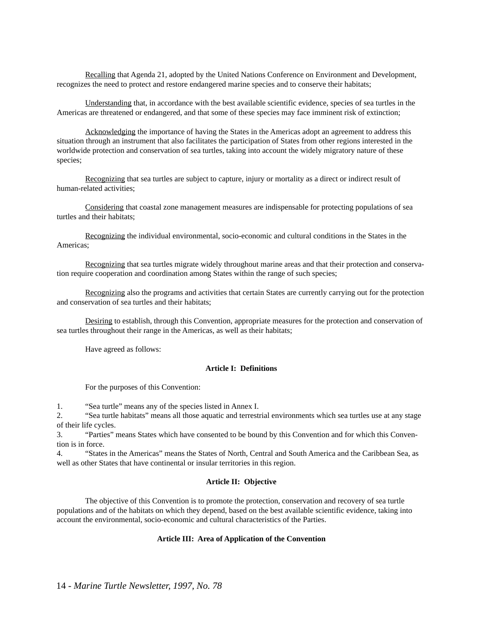Recalling that Agenda 21, adopted by the United Nations Conference on Environment and Development, recognizes the need to protect and restore endangered marine species and to conserve their habitats;

Understanding that, in accordance with the best available scientific evidence, species of sea turtles in the Americas are threatened or endangered, and that some of these species may face imminent risk of extinction;

Acknowledging the importance of having the States in the Americas adopt an agreement to address this situation through an instrument that also facilitates the participation of States from other regions interested in the worldwide protection and conservation of sea turtles, taking into account the widely migratory nature of these species;

Recognizing that sea turtles are subject to capture, injury or mortality as a direct or indirect result of human-related activities;

Considering that coastal zone management measures are indispensable for protecting populations of sea turtles and their habitats;

Recognizing the individual environmental, socio-economic and cultural conditions in the States in the Americas;

Recognizing that sea turtles migrate widely throughout marine areas and that their protection and conservation require cooperation and coordination among States within the range of such species;

Recognizing also the programs and activities that certain States are currently carrying out for the protection and conservation of sea turtles and their habitats;

Desiring to establish, through this Convention, appropriate measures for the protection and conservation of sea turtles throughout their range in the Americas, as well as their habitats;

Have agreed as follows:

#### **Article I: Definitions**

For the purposes of this Convention:

1. "Sea turtle" means any of the species listed in Annex I.

2. "Sea turtle habitats" means all those aquatic and terrestrial environments which sea turtles use at any stage of their life cycles.

3. "Parties" means States which have consented to be bound by this Convention and for which this Convention is in force.

4. "States in the Americas" means the States of North, Central and South America and the Caribbean Sea, as well as other States that have continental or insular territories in this region.

#### **Article II: Objective**

The objective of this Convention is to promote the protection, conservation and recovery of sea turtle populations and of the habitats on which they depend, based on the best available scientific evidence, taking into account the environmental, socio-economic and cultural characteristics of the Parties.

#### **Article III: Area of Application of the Convention**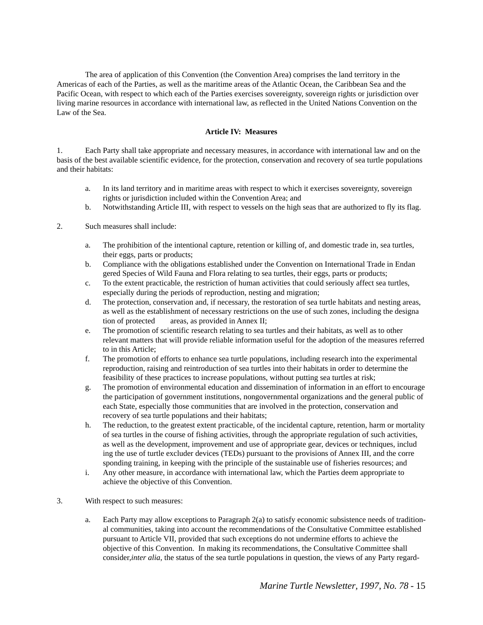The area of application of this Convention (the Convention Area) comprises the land territory in the Americas of each of the Parties, as well as the maritime areas of the Atlantic Ocean, the Caribbean Sea and the Pacific Ocean, with respect to which each of the Parties exercises sovereignty, sovereign rights or jurisdiction over living marine resources in accordance with international law, as reflected in the United Nations Convention on the Law of the Sea.

#### **Article IV: Measures**

1. Each Party shall take appropriate and necessary measures, in accordance with international law and on the basis of the best available scientific evidence, for the protection, conservation and recovery of sea turtle populations and their habitats:

- a. In its land territory and in maritime areas with respect to which it exercises sovereignty, sovereign rights or jurisdiction included within the Convention Area; and
- b. Notwithstanding Article III, with respect to vessels on the high seas that are authorized to fly its flag.

#### 2. Such measures shall include:

- a. The prohibition of the intentional capture, retention or killing of, and domestic trade in, sea turtles, their eggs, parts or products;
- b. Compliance with the obligations established under the Convention on International Trade in Endan gered Species of Wild Fauna and Flora relating to sea turtles, their eggs, parts or products;
- c. To the extent practicable, the restriction of human activities that could seriously affect sea turtles, especially during the periods of reproduction, nesting and migration;
- d. The protection, conservation and, if necessary, the restoration of sea turtle habitats and nesting areas, as well as the establishment of necessary restrictions on the use of such zones, including the designa tion of protected areas, as provided in Annex II;
- e. The promotion of scientific research relating to sea turtles and their habitats, as well as to other relevant matters that will provide reliable information useful for the adoption of the measures referred to in this Article;
- f. The promotion of efforts to enhance sea turtle populations, including research into the experimental reproduction, raising and reintroduction of sea turtles into their habitats in order to determine the feasibility of these practices to increase populations, without putting sea turtles at risk;
- g. The promotion of environmental education and dissemination of information in an effort to encourage the participation of government institutions, nongovernmental organizations and the general public of each State, especially those communities that are involved in the protection, conservation and recovery of sea turtle populations and their habitats;
- h. The reduction, to the greatest extent practicable, of the incidental capture, retention, harm or mortality of sea turtles in the course of fishing activities, through the appropriate regulation of such activities, as well as the development, improvement and use of appropriate gear, devices or techniques, includ ing the use of turtle excluder devices (TEDs) pursuant to the provisions of Annex III, and the corre sponding training, in keeping with the principle of the sustainable use of fisheries resources; and
- i. Any other measure, in accordance with international law, which the Parties deem appropriate to achieve the objective of this Convention.
- 3. With respect to such measures:
	- a. Each Party may allow exceptions to Paragraph 2(a) to satisfy economic subsistence needs of traditional communities, taking into account the recommendations of the Consultative Committee established pursuant to Article VII, provided that such exceptions do not undermine efforts to achieve the objective of this Convention. In making its recommendations, the Consultative Committee shall consider,*inter alia*, the status of the sea turtle populations in question, the views of any Party regard-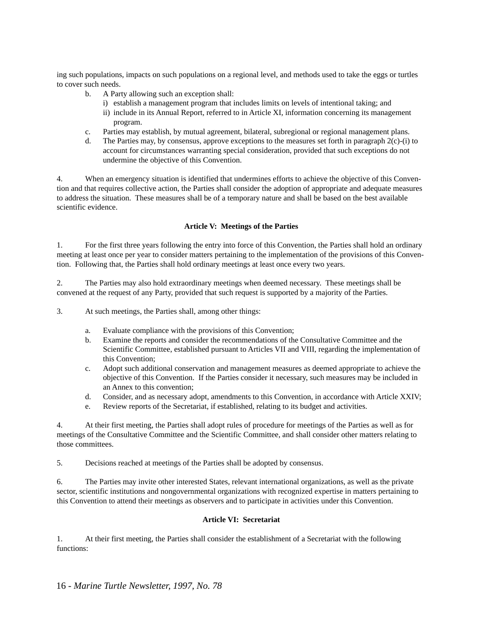ing such populations, impacts on such populations on a regional level, and methods used to take the eggs or turtles to cover such needs.

- b. A Party allowing such an exception shall:
	- i) establish a management program that includes limits on levels of intentional taking; and
	- ii) include in its Annual Report, referred to in Article XI, information concerning its management program.
- c. Parties may establish, by mutual agreement, bilateral, subregional or regional management plans.
- d. The Parties may, by consensus, approve exceptions to the measures set forth in paragraph 2(c)-(i) to account for circumstances warranting special consideration, provided that such exceptions do not undermine the objective of this Convention.

4. When an emergency situation is identified that undermines efforts to achieve the objective of this Convention and that requires collective action, the Parties shall consider the adoption of appropriate and adequate measures to address the situation. These measures shall be of a temporary nature and shall be based on the best available scientific evidence.

## **Article V: Meetings of the Parties**

1. For the first three years following the entry into force of this Convention, the Parties shall hold an ordinary meeting at least once per year to consider matters pertaining to the implementation of the provisions of this Convention. Following that, the Parties shall hold ordinary meetings at least once every two years.

2. The Parties may also hold extraordinary meetings when deemed necessary. These meetings shall be convened at the request of any Party, provided that such request is supported by a majority of the Parties.

- 3. At such meetings, the Parties shall, among other things:
	- a. Evaluate compliance with the provisions of this Convention;
	- b. Examine the reports and consider the recommendations of the Consultative Committee and the Scientific Committee, established pursuant to Articles VII and VIII, regarding the implementation of this Convention;
	- c. Adopt such additional conservation and management measures as deemed appropriate to achieve the objective of this Convention. If the Parties consider it necessary, such measures may be included in an Annex to this convention;
	- d. Consider, and as necessary adopt, amendments to this Convention, in accordance with Article XXIV;
	- e. Review reports of the Secretariat, if established, relating to its budget and activities.

4. At their first meeting, the Parties shall adopt rules of procedure for meetings of the Parties as well as for meetings of the Consultative Committee and the Scientific Committee, and shall consider other matters relating to those committees.

5. Decisions reached at meetings of the Parties shall be adopted by consensus.

6. The Parties may invite other interested States, relevant international organizations, as well as the private sector, scientific institutions and nongovernmental organizations with recognized expertise in matters pertaining to this Convention to attend their meetings as observers and to participate in activities under this Convention.

#### **Article VI: Secretariat**

1. At their first meeting, the Parties shall consider the establishment of a Secretariat with the following functions: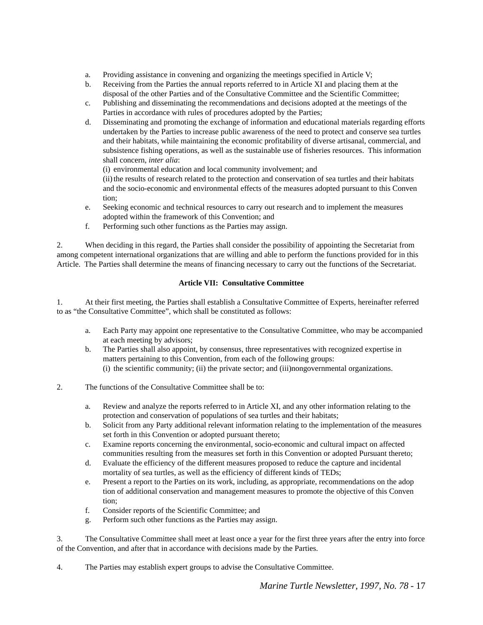- a. Providing assistance in convening and organizing the meetings specified in Article V;
- b. Receiving from the Parties the annual reports referred to in Article XI and placing them at the disposal of the other Parties and of the Consultative Committee and the Scientific Committee;
- c. Publishing and disseminating the recommendations and decisions adopted at the meetings of the Parties in accordance with rules of procedures adopted by the Parties;
- d. Disseminating and promoting the exchange of information and educational materials regarding efforts undertaken by the Parties to increase public awareness of the need to protect and conserve sea turtles and their habitats, while maintaining the economic profitability of diverse artisanal, commercial, and subsistence fishing operations, as well as the sustainable use of fisheries resources. This information shall concern, *inter alia*:

(i) environmental education and local community involvement; and

(ii) the results of research related to the protection and conservation of sea turtles and their habitats and the socio-economic and environmental effects of the measures adopted pursuant to this Conven tion;

- e. Seeking economic and technical resources to carry out research and to implement the measures adopted within the framework of this Convention; and
- f. Performing such other functions as the Parties may assign.

2. When deciding in this regard, the Parties shall consider the possibility of appointing the Secretariat from among competent international organizations that are willing and able to perform the functions provided for in this Article. The Parties shall determine the means of financing necessary to carry out the functions of the Secretariat.

# **Article VII: Consultative Committee**

1. At their first meeting, the Parties shall establish a Consultative Committee of Experts, hereinafter referred to as "the Consultative Committee", which shall be constituted as follows:

- a. Each Party may appoint one representative to the Consultative Committee, who may be accompanied at each meeting by advisors;
- b. The Parties shall also appoint, by consensus, three representatives with recognized expertise in matters pertaining to this Convention, from each of the following groups: (i) the scientific community; (ii) the private sector; and (iii)nongovernmental organizations.
- 2. The functions of the Consultative Committee shall be to:
	- a. Review and analyze the reports referred to in Article XI, and any other information relating to the protection and conservation of populations of sea turtles and their habitats;
	- b. Solicit from any Party additional relevant information relating to the implementation of the measures set forth in this Convention or adopted pursuant thereto;
	- c. Examine reports concerning the environmental, socio-economic and cultural impact on affected communities resulting from the measures set forth in this Convention or adopted Pursuant thereto;
	- d. Evaluate the efficiency of the different measures proposed to reduce the capture and incidental mortality of sea turtles, as well as the efficiency of different kinds of TEDs;
	- e. Present a report to the Parties on its work, including, as appropriate, recommendations on the adop tion of additional conservation and management measures to promote the objective of this Conven tion;
	- f. Consider reports of the Scientific Committee; and
	- g. Perform such other functions as the Parties may assign.

3. The Consultative Committee shall meet at least once a year for the first three years after the entry into force of the Convention, and after that in accordance with decisions made by the Parties.

4. The Parties may establish expert groups to advise the Consultative Committee.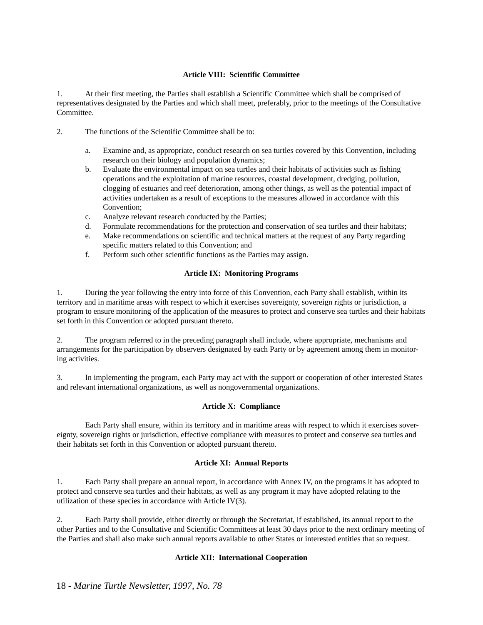#### **Article VIII: Scientific Committee**

1. At their first meeting, the Parties shall establish a Scientific Committee which shall be comprised of representatives designated by the Parties and which shall meet, preferably, prior to the meetings of the Consultative Committee.

- 2. The functions of the Scientific Committee shall be to:
	- a. Examine and, as appropriate, conduct research on sea turtles covered by this Convention, including research on their biology and population dynamics;
	- b. Evaluate the environmental impact on sea turtles and their habitats of activities such as fishing operations and the exploitation of marine resources, coastal development, dredging, pollution, clogging of estuaries and reef deterioration, among other things, as well as the potential impact of activities undertaken as a result of exceptions to the measures allowed in accordance with this Convention;
	- c. Analyze relevant research conducted by the Parties;
	- d. Formulate recommendations for the protection and conservation of sea turtles and their habitats;
	- e. Make recommendations on scientific and technical matters at the request of any Party regarding specific matters related to this Convention; and
	- f. Perform such other scientific functions as the Parties may assign.

#### **Article IX: Monitoring Programs**

1. During the year following the entry into force of this Convention, each Party shall establish, within its territory and in maritime areas with respect to which it exercises sovereignty, sovereign rights or jurisdiction, a program to ensure monitoring of the application of the measures to protect and conserve sea turtles and their habitats set forth in this Convention or adopted pursuant thereto.

2. The program referred to in the preceding paragraph shall include, where appropriate, mechanisms and arrangements for the participation by observers designated by each Party or by agreement among them in monitoring activities.

3. In implementing the program, each Party may act with the support or cooperation of other interested States and relevant international organizations, as well as nongovernmental organizations.

#### **Article X: Compliance**

Each Party shall ensure, within its territory and in maritime areas with respect to which it exercises sovereignty, sovereign rights or jurisdiction, effective compliance with measures to protect and conserve sea turtles and their habitats set forth in this Convention or adopted pursuant thereto.

#### **Article XI: Annual Reports**

1. Each Party shall prepare an annual report, in accordance with Annex IV, on the programs it has adopted to protect and conserve sea turtles and their habitats, as well as any program it may have adopted relating to the utilization of these species in accordance with Article IV(3).

2. Each Party shall provide, either directly or through the Secretariat, if established, its annual report to the other Parties and to the Consultative and Scientific Committees at least 30 days prior to the next ordinary meeting of the Parties and shall also make such annual reports available to other States or interested entities that so request.

#### **Article XII: International Cooperation**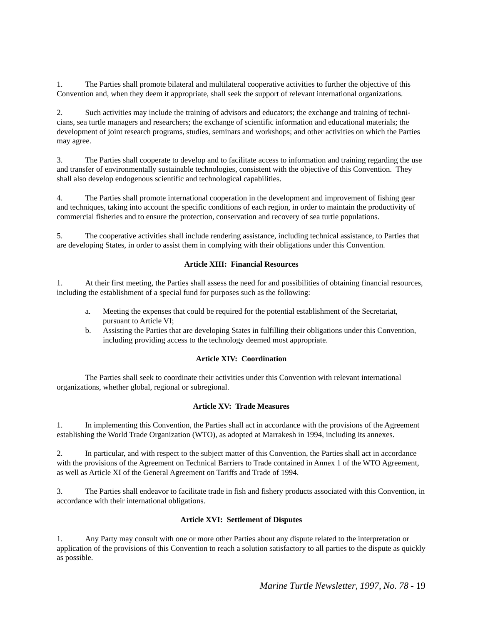1. The Parties shall promote bilateral and multilateral cooperative activities to further the objective of this Convention and, when they deem it appropriate, shall seek the support of relevant international organizations.

2. Such activities may include the training of advisors and educators; the exchange and training of technicians, sea turtle managers and researchers; the exchange of scientific information and educational materials; the development of joint research programs, studies, seminars and workshops; and other activities on which the Parties may agree.

3. The Parties shall cooperate to develop and to facilitate access to information and training regarding the use and transfer of environmentally sustainable technologies, consistent with the objective of this Convention. They shall also develop endogenous scientific and technological capabilities.

4. The Parties shall promote international cooperation in the development and improvement of fishing gear and techniques, taking into account the specific conditions of each region, in order to maintain the productivity of commercial fisheries and to ensure the protection, conservation and recovery of sea turtle populations.

5. The cooperative activities shall include rendering assistance, including technical assistance, to Parties that are developing States, in order to assist them in complying with their obligations under this Convention.

#### **Article XIII: Financial Resources**

1. At their first meeting, the Parties shall assess the need for and possibilities of obtaining financial resources, including the establishment of a special fund for purposes such as the following:

- a. Meeting the expenses that could be required for the potential establishment of the Secretariat, pursuant to Article VI;
- b. Assisting the Parties that are developing States in fulfilling their obligations under this Convention, including providing access to the technology deemed most appropriate.

#### **Article XIV: Coordination**

The Parties shall seek to coordinate their activities under this Convention with relevant international organizations, whether global, regional or subregional.

#### **Article XV: Trade Measures**

1. In implementing this Convention, the Parties shall act in accordance with the provisions of the Agreement establishing the World Trade Organization (WTO), as adopted at Marrakesh in 1994, including its annexes.

2. In particular, and with respect to the subject matter of this Convention, the Parties shall act in accordance with the provisions of the Agreement on Technical Barriers to Trade contained in Annex 1 of the WTO Agreement, as well as Article XI of the General Agreement on Tariffs and Trade of 1994.

3. The Parties shall endeavor to facilitate trade in fish and fishery products associated with this Convention, in accordance with their international obligations.

#### **Article XVI: Settlement of Disputes**

1. Any Party may consult with one or more other Parties about any dispute related to the interpretation or application of the provisions of this Convention to reach a solution satisfactory to all parties to the dispute as quickly as possible.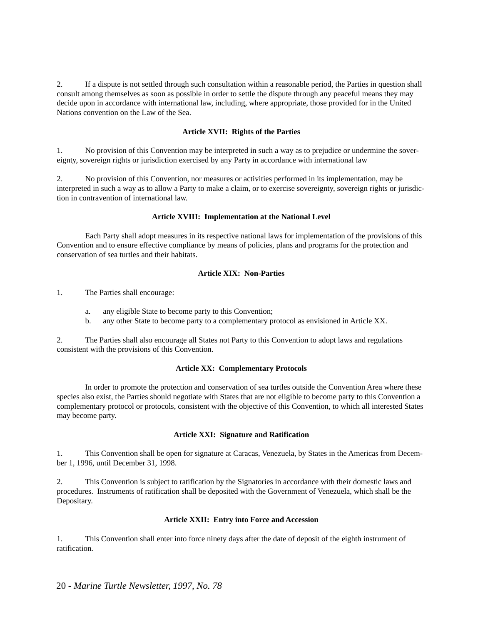2. If a dispute is not settled through such consultation within a reasonable period, the Parties in question shall consult among themselves as soon as possible in order to settle the dispute through any peaceful means they may decide upon in accordance with international law, including, where appropriate, those provided for in the United Nations convention on the Law of the Sea.

#### **Article XVII: Rights of the Parties**

1. No provision of this Convention may be interpreted in such a way as to prejudice or undermine the sovereignty, sovereign rights or jurisdiction exercised by any Party in accordance with international law

2. No provision of this Convention, nor measures or activities performed in its implementation, may be interpreted in such a way as to allow a Party to make a claim, or to exercise sovereignty, sovereign rights or jurisdiction in contravention of international law.

#### **Article XVIII: Implementation at the National Level**

Each Party shall adopt measures in its respective national laws for implementation of the provisions of this Convention and to ensure effective compliance by means of policies, plans and programs for the protection and conservation of sea turtles and their habitats.

#### **Article XIX: Non-Parties**

1. The Parties shall encourage:

- a. any eligible State to become party to this Convention;
- b. any other State to become party to a complementary protocol as envisioned in Article XX.

2. The Parties shall also encourage all States not Party to this Convention to adopt laws and regulations consistent with the provisions of this Convention.

#### **Article XX: Complementary Protocols**

In order to promote the protection and conservation of sea turtles outside the Convention Area where these species also exist, the Parties should negotiate with States that are not eligible to become party to this Convention a complementary protocol or protocols, consistent with the objective of this Convention, to which all interested States may become party.

#### **Article XXI: Signature and Ratification**

1. This Convention shall be open for signature at Caracas, Venezuela, by States in the Americas from December 1, 1996, until December 31, 1998.

2. This Convention is subject to ratification by the Signatories in accordance with their domestic laws and procedures. Instruments of ratification shall be deposited with the Government of Venezuela, which shall be the Depositary.

#### **Article XXII: Entry into Force and Accession**

1. This Convention shall enter into force ninety days after the date of deposit of the eighth instrument of ratification.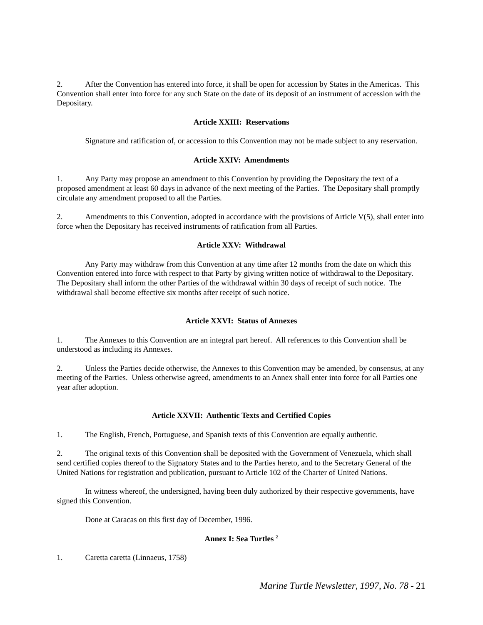2. After the Convention has entered into force, it shall be open for accession by States in the Americas. This Convention shall enter into force for any such State on the date of its deposit of an instrument of accession with the Depositary.

#### **Article XXIII: Reservations**

Signature and ratification of, or accession to this Convention may not be made subject to any reservation.

#### **Article XXIV: Amendments**

1. Any Party may propose an amendment to this Convention by providing the Depositary the text of a proposed amendment at least 60 days in advance of the next meeting of the Parties. The Depositary shall promptly circulate any amendment proposed to all the Parties.

2. Amendments to this Convention, adopted in accordance with the provisions of Article  $V(5)$ , shall enter into force when the Depositary has received instruments of ratification from all Parties.

#### **Article XXV: Withdrawal**

Any Party may withdraw from this Convention at any time after 12 months from the date on which this Convention entered into force with respect to that Party by giving written notice of withdrawal to the Depositary. The Depositary shall inform the other Parties of the withdrawal within 30 days of receipt of such notice. The withdrawal shall become effective six months after receipt of such notice.

#### **Article XXVI: Status of Annexes**

1. The Annexes to this Convention are an integral part hereof. All references to this Convention shall be understood as including its Annexes.

2. Unless the Parties decide otherwise, the Annexes to this Convention may be amended, by consensus, at any meeting of the Parties. Unless otherwise agreed, amendments to an Annex shall enter into force for all Parties one year after adoption.

#### **Article XXVII: Authentic Texts and Certified Copies**

1. The English, French, Portuguese, and Spanish texts of this Convention are equally authentic.

2. The original texts of this Convention shall be deposited with the Government of Venezuela, which shall send certified copies thereof to the Signatory States and to the Parties hereto, and to the Secretary General of the United Nations for registration and publication, pursuant to Article 102 of the Charter of United Nations.

In witness whereof, the undersigned, having been duly authorized by their respective governments, have signed this Convention.

Done at Caracas on this first day of December, 1996.

# **Annex I: Sea Turtles 2**

1. Caretta caretta (Linnaeus, 1758)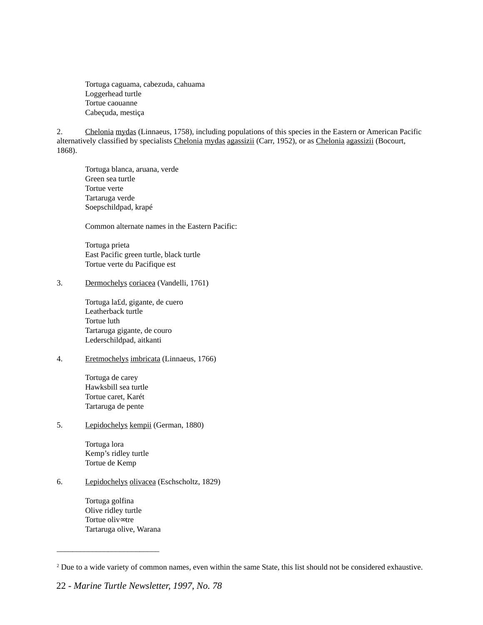Tortuga caguama, cabezuda, cahuama Loggerhead turtle Tortue caouanne Cabeçuda, mestiça

2. Chelonia mydas (Linnaeus, 1758), including populations of this species in the Eastern or American Pacific alternatively classified by specialists Chelonia mydas agassizii (Carr, 1952), or as Chelonia agassizii (Bocourt, 1868).

Tortuga blanca, aruana, verde Green sea turtle Tortue verte Tartaruga verde Soepschildpad, krapé

Common alternate names in the Eastern Pacific:

Tortuga prieta East Pacific green turtle, black turtle Tortue verte du Pacifique est

3. Dermochelys coriacea (Vandelli, 1761)

Tortuga la£d, gigante, de cuero Leatherback turtle Tortue luth Tartaruga gigante, de couro Lederschildpad, aitkanti

4. Eretmochelys imbricata (Linnaeus, 1766)

Tortuga de carey Hawksbill sea turtle Tortue caret, Karét Tartaruga de pente

5. Lepidochelys kempii (German, 1880)

Tortuga lora Kemp's ridley turtle Tortue de Kemp

6. Lepidochelys olivacea (Eschscholtz, 1829)

Tortuga golfina Olive ridley turtle Tortue oliv∞tre Tartaruga olive, Warana

\_\_\_\_\_\_\_\_\_\_\_\_\_\_\_\_\_\_\_\_\_\_\_\_\_\_

<sup>&</sup>lt;sup>2</sup> Due to a wide variety of common names, even within the same State, this list should not be considered exhaustive.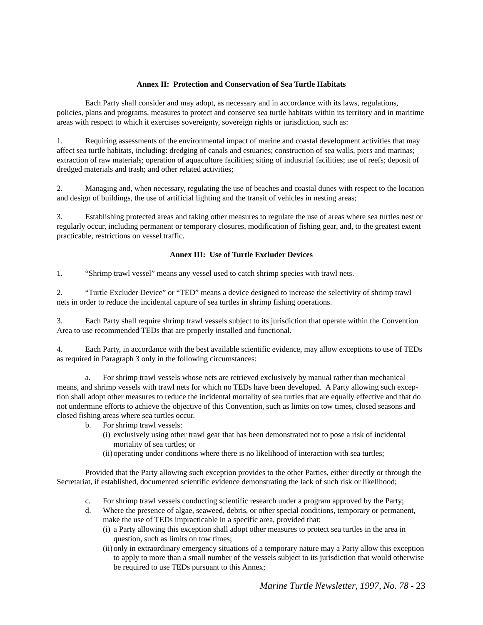#### **Annex II: Protection and Conservation of Sea Turtle Habitats**

Each Party shall consider and may adopt, as necessary and in accordance with its laws, regulations, policies, plans and programs, measures to protect and conserve sea turtle habitats within its territory and in maritime areas with respect to which it exercises sovereignty, sovereign rights or jurisdiction, such as:

1. Requiring assessments of the environmental impact of marine and coastal development activities that may affect sea turtle habitats, including: dredging of canals and estuaries; construction of sea walls, piers and marinas; extraction of raw materials; operation of aquaculture facilities; siting of industrial facilities; use of reefs; deposit of dredged materials and trash; and other related activities;

2. Managing and, when necessary, regulating the use of beaches and coastal dunes with respect to the location and design of buildings, the use of artificial lighting and the transit of vehicles in nesting areas;

3. Establishing protected areas and taking other measures to regulate the use of areas where sea turtles nest or regularly occur, including permanent or temporary closures, modification of fishing gear, and, to the greatest extent practicable, restrictions on vessel traffic.

#### **Annex III: Use of Turtle Excluder Devices**

1. "Shrimp trawl vessel" means any vessel used to catch shrimp species with trawl nets.

2. "Turtle Excluder Device" or "TED" means a device designed to increase the selectivity of shrimp trawl nets in order to reduce the incidental capture of sea turtles in shrimp fishing operations.

3. Each Party shall require shrimp trawl vessels subject to its jurisdiction that operate within the Convention Area to use recommended TEDs that are properly installed and functional.

4. Each Party, in accordance with the best available scientific evidence, may allow exceptions to use of TEDs as required in Paragraph 3 only in the following circumstances:

a. For shrimp trawl vessels whose nets are retrieved exclusively by manual rather than mechanical means, and shrimp vessels with trawl nets for which no TEDs have been developed. A Party allowing such exception shall adopt other measures to reduce the incidental mortality of sea turtles that are equally effective and that do not undermine efforts to achieve the objective of this Convention, such as limits on tow times, closed seasons and closed fishing areas where sea turtles occur.

- b. For shrimp trawl vessels:
	- (i) exclusively using other trawl gear that has been demonstrated not to pose a risk of incidental mortality of sea turtles; or
	- (ii) operating under conditions where there is no likelihood of interaction with sea turtles;

Provided that the Party allowing such exception provides to the other Parties, either directly or through the Secretariat, if established, documented scientific evidence demonstrating the lack of such risk or likelihood;

- c. For shrimp trawl vessels conducting scientific research under a program approved by the Party;
- d. Where the presence of algae, seaweed, debris, or other special conditions, temporary or permanent, make the use of TEDs impracticable in a specific area, provided that:
	- (i) a Party allowing this exception shall adopt other measures to protect sea turtles in the area in question, such as limits on tow times;
	- (ii) only in extraordinary emergency situations of a temporary nature may a Party allow this exception to apply to more than a small number of the vessels subject to its jurisdiction that would otherwise be required to use TEDs pursuant to this Annex;

*Marine Turtle Newsletter, 1997, No. 78 -* 23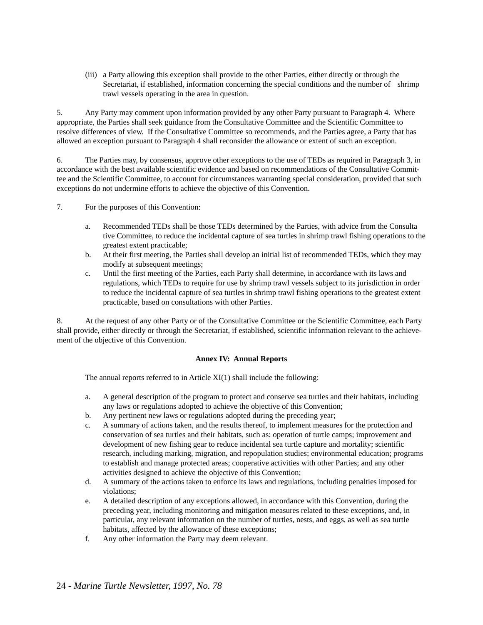(iii) a Party allowing this exception shall provide to the other Parties, either directly or through the Secretariat, if established, information concerning the special conditions and the number of shrimp trawl vessels operating in the area in question.

5. Any Party may comment upon information provided by any other Party pursuant to Paragraph 4. Where appropriate, the Parties shall seek guidance from the Consultative Committee and the Scientific Committee to resolve differences of view. If the Consultative Committee so recommends, and the Parties agree, a Party that has allowed an exception pursuant to Paragraph 4 shall reconsider the allowance or extent of such an exception.

6. The Parties may, by consensus, approve other exceptions to the use of TEDs as required in Paragraph 3, in accordance with the best available scientific evidence and based on recommendations of the Consultative Committee and the Scientific Committee, to account for circumstances warranting special consideration, provided that such exceptions do not undermine efforts to achieve the objective of this Convention.

7. For the purposes of this Convention:

- a. Recommended TEDs shall be those TEDs determined by the Parties, with advice from the Consulta tive Committee, to reduce the incidental capture of sea turtles in shrimp trawl fishing operations to the greatest extent practicable;
- b. At their first meeting, the Parties shall develop an initial list of recommended TEDs, which they may modify at subsequent meetings;
- c. Until the first meeting of the Parties, each Party shall determine, in accordance with its laws and regulations, which TEDs to require for use by shrimp trawl vessels subject to its jurisdiction in order to reduce the incidental capture of sea turtles in shrimp trawl fishing operations to the greatest extent practicable, based on consultations with other Parties.

8. At the request of any other Party or of the Consultative Committee or the Scientific Committee, each Party shall provide, either directly or through the Secretariat, if established, scientific information relevant to the achievement of the objective of this Convention.

#### **Annex IV: Annual Reports**

The annual reports referred to in Article XI(1) shall include the following:

- a. A general description of the program to protect and conserve sea turtles and their habitats, including any laws or regulations adopted to achieve the objective of this Convention;
- b. Any pertinent new laws or regulations adopted during the preceding year;
- c. A summary of actions taken, and the results thereof, to implement measures for the protection and conservation of sea turtles and their habitats, such as: operation of turtle camps; improvement and development of new fishing gear to reduce incidental sea turtle capture and mortality; scientific research, including marking, migration, and repopulation studies; environmental education; programs to establish and manage protected areas; cooperative activities with other Parties; and any other activities designed to achieve the objective of this Convention;
- d. A summary of the actions taken to enforce its laws and regulations, including penalties imposed for violations;
- e. A detailed description of any exceptions allowed, in accordance with this Convention, during the preceding year, including monitoring and mitigation measures related to these exceptions, and, in particular, any relevant information on the number of turtles, nests, and eggs, as well as sea turtle habitats, affected by the allowance of these exceptions;
- f. Any other information the Party may deem relevant.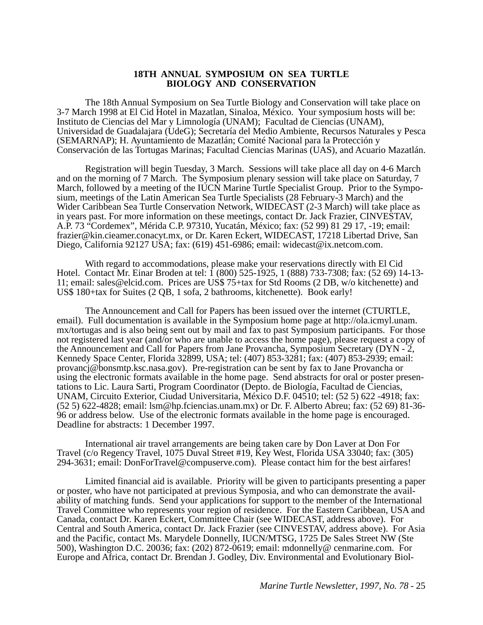# **18TH ANNUAL SYMPOSIUM ON SEA TURTLE BIOLOGY AND CONSERVATION**

The 18th Annual Symposium on Sea Turtle Biology and Conservation will take place on 3-7 March 1998 at El Cid Hotel in Mazatlan, Sinaloa, México. Your symposium hosts will be: Instituto de Ciencias del Mar y Limnología (UNAM); Facultad de Ciencias (UNAM), Universidad de Guadalajara (UdeG); Secretaría del Medio Ambiente, Recursos Naturales y Pesca (SEMARNAP); H. Ayuntamiento de Mazatlán; Comité Nacional para la Protección y Conservación de las Tortugas Marinas; Facultad Ciencias Marinas (UAS), and Acuario Mazatlán.

Registration will begin Tuesday, 3 March. Sessions will take place all day on 4-6 March and on the morning of 7 March. The Symposium plenary session will take place on Saturday, 7 March, followed by a meeting of the IUCN Marine Turtle Specialist Group. Prior to the Symposium, meetings of the Latin American Sea Turtle Specialists (28 February-3 March) and the Wider Caribbean Sea Turtle Conservation Network, WIDECAST (2-3 March) will take place as in years past. For more information on these meetings, contact Dr. Jack Frazier, CINVESTAV, A.P. 73 "Cordemex", Mérida C.P. 97310, Yucatán, México; fax: (52 99) 81 29 17, -19; email: frazier@kin.cieamer.conacyt.mx, or Dr. Karen Eckert, WIDECAST, 17218 Libertad Drive, San Diego, California 92127 USA; fax: (619) 451-6986; email: widecast@ix.netcom.com.

With regard to accommodations, please make your reservations directly with El Cid Hotel. Contact Mr. Einar Broden at tel: 1 (800) 525-1925, 1 (888) 733-7308; fax: (52 69) 14-13- 11; email: sales@elcid.com. Prices are US\$ 75+tax for Std Rooms (2 DB, w/o kitchenette) and US\$ 180+tax for Suites (2 QB, 1 sofa, 2 bathrooms, kitchenette). Book early!

The Announcement and Call for Papers has been issued over the internet (CTURTLE, email). Full documentation is available in the Symposium home page at http://ola.icmyl.unam. mx/tortugas and is also being sent out by mail and fax to past Symposium participants. For those not registered last year (and/or who are unable to access the home page), please request a copy of the Announcement and Call for Papers from Jane Provancha, Symposium Secretary (DYN - 2, Kennedy Space Center, Florida 32899, USA; tel: (407) 853-3281; fax: (407) 853-2939; email: provancj@bonsmtp.ksc.nasa.gov). Pre-registration can be sent by fax to Jane Provancha or using the electronic formats available in the home page. Send abstracts for oral or poster presentations to Lic. Laura Sarti, Program Coordinator (Depto. de Biología, Facultad de Ciencias, UNAM, Circuito Exterior, Ciudad Universitaria, México D.F. 04510; tel: (52 5) 622 -4918; fax: (52 5) 622-4828; email: lsm@hp.fciencias.unam.mx) or Dr. F. Alberto Abreu; fax: (52 69) 81-36- 96 or address below. Use of the electronic formats available in the home page is encouraged. Deadline for abstracts: 1 December 1997.

International air travel arrangements are being taken care by Don Laver at Don For Travel (c/o Regency Travel, 1075 Duval Street #19, Key West, Florida USA 33040; fax: (305) 294-3631; email: DonForTravel@compuserve.com). Please contact him for the best airfares!

Limited financial aid is available. Priority will be given to participants presenting a paper or poster, who have not participated at previous Symposia, and who can demonstrate the availability of matching funds. Send your applications for support to the member of the International Travel Committee who represents your region of residence. For the Eastern Caribbean, USA and Canada, contact Dr. Karen Eckert, Committee Chair (see WIDECAST, address above). For Central and South America, contact Dr. Jack Frazier (see CINVESTAV, address above). For Asia and the Pacific, contact Ms. Marydele Donnelly, IUCN/MTSG, 1725 De Sales Street NW (Ste 500), Washington D.C. 20036; fax: (202) 872-0619; email: mdonnelly@ cenmarine.com. For Europe and Africa, contact Dr. Brendan J. Godley, Div. Environmental and Evolutionary Biol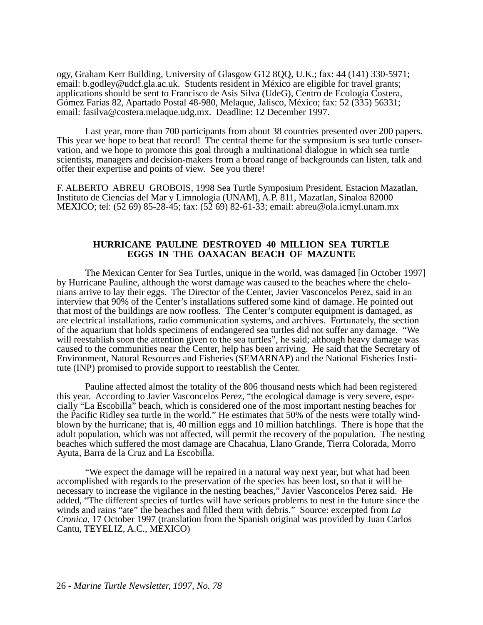ogy, Graham Kerr Building, University of Glasgow G12 8QQ, U.K.; fax: 44 (141) 330-5971; email: b.godley@udcf.gla.ac.uk. Students resident in México are eligible for travel grants; applications should be sent to Francisco de Asis Silva (UdeG), Centro de Ecología Costera, Gómez Farías 82, Apartado Postal 48-980, Melaque, Jalisco, México; fax: 52 (335) 56331; email: fasilva@costera.melaque.udg.mx. Deadline: 12 December 1997.

Last year, more than 700 participants from about 38 countries presented over 200 papers. This year we hope to beat that record! The central theme for the symposium is sea turtle conservation, and we hope to promote this goal through a multinational dialogue in which sea turtle scientists, managers and decision-makers from a broad range of backgrounds can listen, talk and offer their expertise and points of view. See you there!

F. ALBERTO ABREU GROBOIS, 1998 Sea Turtle Symposium President, Estacion Mazatlan, Instituto de Ciencias del Mar y Limnologia (UNAM), A.P. 811, Mazatlan, Sinaloa 82000 MEXICO; tel: (52 69) 85-28-45; fax: (52 69) 82-61-33; email: abreu@ola.icmyl.unam.mx

# **HURRICANE PAULINE DESTROYED 40 MILLION SEA TURTLE EGGS IN THE OAXACAN BEACH OF MAZUNTE**

The Mexican Center for Sea Turtles, unique in the world, was damaged [in October 1997] by Hurricane Pauline, although the worst damage was caused to the beaches where the chelonians arrive to lay their eggs. The Director of the Center, Javier Vasconcelos Perez, said in an interview that 90% of the Center's installations suffered some kind of damage. He pointed out that most of the buildings are now roofless. The Center's computer equipment is damaged, as are electrical installations, radio communication systems, and archives. Fortunately, the section of the aquarium that holds specimens of endangered sea turtles did not suffer any damage. "We will reestablish soon the attention given to the sea turtles", he said; although heavy damage was caused to the communities near the Center, help has been arriving. He said that the Secretary of Environment, Natural Resources and Fisheries (SEMARNAP) and the National Fisheries Institute (INP) promised to provide support to reestablish the Center.

Pauline affected almost the totality of the 806 thousand nests which had been registered this year. According to Javier Vasconcelos Perez, "the ecological damage is very severe, especially "La Escobilla" beach, which is considered one of the most important nesting beaches for the Pacific Ridley sea turtle in the world." He estimates that 50% of the nests were totally windblown by the hurricane; that is, 40 million eggs and 10 million hatchlings. There is hope that the adult population, which was not affected, will permit the recovery of the population. The nesting beaches which suffered the most damage are Chacahua, Llano Grande, Tierra Colorada, Morro Ayuta, Barra de la Cruz and La Escobilla.

"We expect the damage will be repaired in a natural way next year, but what had been accomplished with regards to the preservation of the species has been lost, so that it will be necessary to increase the vigilance in the nesting beaches," Javier Vasconcelos Perez said. He added, "The different species of turtles will have serious problems to nest in the future since the winds and rains "ate" the beaches and filled them with debris." Source: excerpted from *La Cronica*, 17 October 1997 (translation from the Spanish original was provided by Juan Carlos Cantu, TEYELIZ, A.C., MEXICO)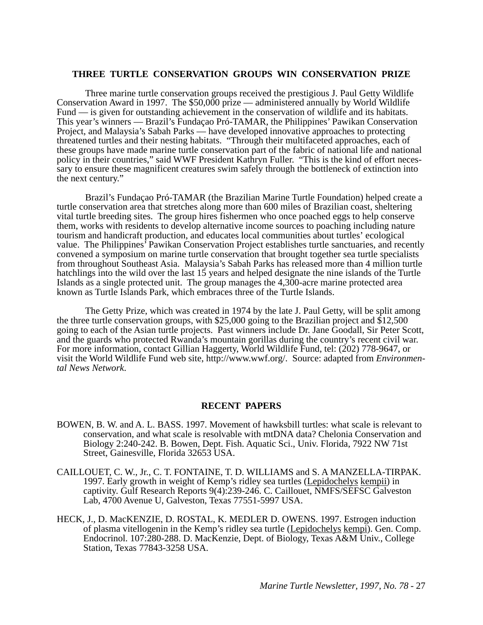# **THREE TURTLE CONSERVATION GROUPS WIN CONSERVATION PRIZE**

Three marine turtle conservation groups received the prestigious J. Paul Getty Wildlife Conservation Award in 1997. The \$50,000 prize — administered annually by World Wildlife Fund — is given for outstanding achievement in the conservation of wildlife and its habitats. This year's winners — Brazil's Fundaçao Pró-TAMAR, the Philippines' Pawikan Conservation Project, and Malaysia's Sabah Parks — have developed innovative approaches to protecting threatened turtles and their nesting habitats. "Through their multifaceted approaches, each of these groups have made marine turtle conservation part of the fabric of national life and national policy in their countries," said WWF President Kathryn Fuller. "This is the kind of effort necessary to ensure these magnificent creatures swim safely through the bottleneck of extinction into the next century."

Brazil's Fundaçao Pró-TAMAR (the Brazilian Marine Turtle Foundation) helped create a turtle conservation area that stretches along more than 600 miles of Brazilian coast, sheltering vital turtle breeding sites. The group hires fishermen who once poached eggs to help conserve them, works with residents to develop alternative income sources to poaching including nature tourism and handicraft production, and educates local communities about turtles' ecological value. The Philippines' Pawikan Conservation Project establishes turtle sanctuaries, and recently convened a symposium on marine turtle conservation that brought together sea turtle specialists from throughout Southeast Asia. Malaysia's Sabah Parks has released more than 4 million turtle hatchlings into the wild over the last 15 years and helped designate the nine islands of the Turtle Islands as a single protected unit. The group manages the 4,300-acre marine protected area known as Turtle Islands Park, which embraces three of the Turtle Islands.

The Getty Prize, which was created in 1974 by the late J. Paul Getty, will be split among the three turtle conservation groups, with \$25,000 going to the Brazilian project and \$12,500 going to each of the Asian turtle projects. Past winners include Dr. Jane Goodall, Sir Peter Scott, and the guards who protected Rwanda's mountain gorillas during the country's recent civil war. For more information, contact Gillian Haggerty, World Wildlife Fund, tel: (202) 778-9647, or visit the World Wildlife Fund web site, http://www.wwf.org/. Source: adapted from *Environmental News Network*.

# **RECENT PAPERS**

- BOWEN, B. W. and A. L. BASS. 1997. Movement of hawksbill turtles: what scale is relevant to conservation, and what scale is resolvable with mtDNA data? Chelonia Conservation and Biology 2:240-242. B. Bowen, Dept. Fish. Aquatic Sci., Univ. Florida, 7922 NW 71st Street, Gainesville, Florida 32653 USA.
- CAILLOUET, C. W., Jr., C. T. FONTAINE, T. D. WILLIAMS and S. A MANZELLA-TIRPAK. 1997. Early growth in weight of Kemp's ridley sea turtles (Lepidochelys kempii) in captivity. Gulf Research Reports 9(4):239-246. C. Caillouet, NMFS/SEFSC Galveston Lab, 4700 Avenue U, Galveston, Texas 77551-5997 USA.
- HECK, J., D. MacKENZIE, D. ROSTAL, K. MEDLER D. OWENS. 1997. Estrogen induction of plasma vitellogenin in the Kemp's ridley sea turtle (Lepidochelys kempi). Gen. Comp. Endocrinol. 107:280-288. D. MacKenzie, Dept. of Biology, Texas A&M Univ., College Station, Texas 77843-3258 USA.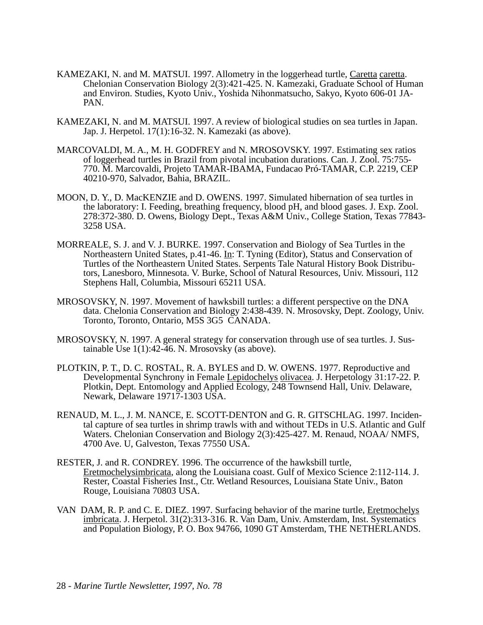- KAMEZAKI, N. and M. MATSUI. 1997. Allometry in the loggerhead turtle, Caretta caretta. Chelonian Conservation Biology 2(3):421-425. N. Kamezaki, Graduate School of Human and Environ. Studies, Kyoto Univ., Yoshida Nihonmatsucho, Sakyo, Kyoto 606-01 JA-PAN.
- KAMEZAKI, N. and M. MATSUI. 1997. A review of biological studies on sea turtles in Japan. Jap. J. Herpetol. 17(1):16-32. N. Kamezaki (as above).
- MARCOVALDI, M. A., M. H. GODFREY and N. MROSOVSKY. 1997. Estimating sex ratios of loggerhead turtles in Brazil from pivotal incubation durations. Can. J. Zool. 75:755- 770. M. Marcovaldi, Projeto TAMAR-IBAMA, Fundacao Pró-TAMAR, C.P. 2219, CEP 40210-970, Salvador, Bahia, BRAZIL.
- MOON, D. Y., D. MacKENZIE and D. OWENS. 1997. Simulated hibernation of sea turtles in the laboratory: I. Feeding, breathing frequency, blood pH, and blood gases. J. Exp. Zool. 278:372-380. D. Owens, Biology Dept., Texas A&M Univ., College Station, Texas 77843- 3258 USA.
- MORREALE, S. J. and V. J. BURKE. 1997. Conservation and Biology of Sea Turtles in the Northeastern United States, p.41-46. In: T. Tyning (Editor), Status and Conservation of Turtles of the Northeastern United States. Serpents Tale Natural History Book Distributors, Lanesboro, Minnesota. V. Burke, School of Natural Resources, Univ. Missouri, 112 Stephens Hall, Columbia, Missouri 65211 USA.
- MROSOVSKY, N. 1997. Movement of hawksbill turtles: a different perspective on the DNA data. Chelonia Conservation and Biology 2:438-439. N. Mrosovsky, Dept. Zoology, Univ. Toronto, Toronto, Ontario, M5S 3G5 CANADA.
- MROSOVSKY, N. 1997. A general strategy for conservation through use of sea turtles. J. Sustainable Use 1(1):42-46. N. Mrosovsky (as above).
- PLOTKIN, P. T., D. C. ROSTAL, R. A. BYLES and D. W. OWENS. 1977. Reproductive and Developmental Synchrony in Female Lepidochelys olivacea. J. Herpetology 31:17-22. P. Plotkin, Dept. Entomology and Applied Ecology, 248 Townsend Hall, Univ. Delaware, Newark, Delaware 19717-1303 USA.
- RENAUD, M. L., J. M. NANCE, E. SCOTT-DENTON and G. R. GITSCHLAG. 1997. Incidental capture of sea turtles in shrimp trawls with and without TEDs in U.S. Atlantic and Gulf Waters. Chelonian Conservation and Biology 2(3):425-427. M. Renaud, NOAA/ NMFS, 4700 Ave. U, Galveston, Texas 77550 USA.
- RESTER, J. and R. CONDREY. 1996. The occurrence of the hawksbill turtle, Eretmochelysimbricata, along the Louisiana coast. Gulf of Mexico Science 2:112-114. J. Rester, Coastal Fisheries Inst., Ctr. Wetland Resources, Louisiana State Univ., Baton Rouge, Louisiana 70803 USA.
- VAN DAM, R. P. and C. E. DIEZ. 1997. Surfacing behavior of the marine turtle, Eretmochelys imbricata. J. Herpetol. 31(2):313-316. R. Van Dam, Univ. Amsterdam, Inst. Systematics and Population Biology, P. O. Box 94766, 1090 GT Amsterdam, THE NETHERLANDS.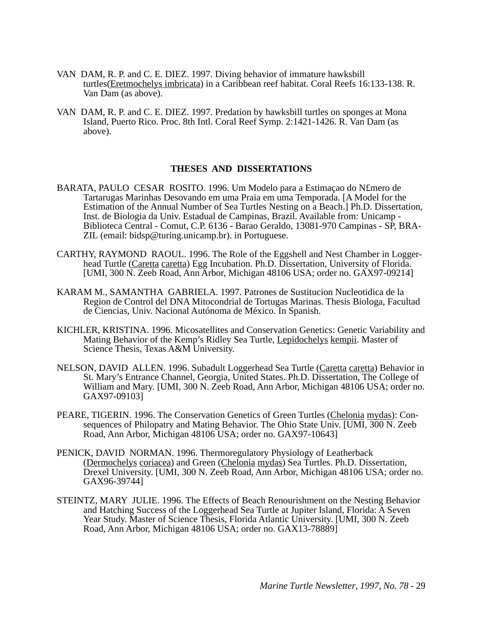- VAN DAM, R. P. and C. E. DIEZ. 1997. Diving behavior of immature hawksbill turtles(Eretmochelys imbricata) in a Caribbean reef habitat. Coral Reefs 16:133-138. R. Van Dam (as above).
- VAN DAM, R. P. and C. E. DIEZ. 1997. Predation by hawksbill turtles on sponges at Mona Island, Puerto Rico. Proc. 8th Intl. Coral Reef Symp. 2:1421-1426. R. Van Dam (as above).

# **THESES AND DISSERTATIONS**

- BARATA, PAULO CESAR ROSITO. 1996. Um Modelo para a Estimaçao do N£mero de Tartarugas Marinhas Desovando em uma Praia em uma Temporada. [A Model for the Estimation of the Annual Number of Sea Turtles Nesting on a Beach.] Ph.D. Dissertation, Inst. de Biologia da Univ. Estadual de Campinas, Brazil. Available from: Unicamp - Biblioteca Central - Comut, C.P. 6136 - Barao Geraldo, 13081-970 Campinas - SP, BRA-ZIL (email: bidsp@turing.unicamp.br). in Portuguese.
- CARTHY, RAYMOND RAOUL. 1996. The Role of the Eggshell and Nest Chamber in Loggerhead Turtle (Caretta caretta) Egg Incubation. Ph.D. Dissertation, University of Florida. [UMI, 300 N. Zeeb Road, Ann Arbor, Michigan 48106 USA; order no. GAX97-09214]
- KARAM M., SAMANTHA GABRIELA. 1997. Patrones de Sustitucion Nucleotidica de la Region de Control del DNA Mitocondrial de Tortugas Marinas. Thesis Biologa, Facultad de Ciencias, Univ. Nacional Autónoma de México. In Spanish.
- KICHLER, KRISTINA. 1996. Micosatellites and Conservation Genetics: Genetic Variability and Mating Behavior of the Kemp's Ridley Sea Turtle, Lepidochelys kempii. Master of Science Thesis, Texas A&M University.
- NELSON, DAVID ALLEN. 1996. Subadult Loggerhead Sea Turtle (Caretta caretta) Behavior in St. Mary's Entrance Channel, Georgia, United States. Ph.D. Dissertation, The College of William and Mary. [UMI, 300 N. Zeeb Road, Ann Arbor, Michigan 48106 USA; order no. GAX97-09103]
- PEARE, TIGERIN. 1996. The Conservation Genetics of Green Turtles (Chelonia mydas): Consequences of Philopatry and Mating Behavior. The Ohio State Univ. [UMI, 300 N. Zeeb Road, Ann Arbor, Michigan 48106 USA; order no. GAX97-10643]
- PENICK, DAVID NORMAN. 1996. Thermoregulatory Physiology of Leatherback (Dermochelys coriacea) and Green (Chelonia mydas) Sea Turtles. Ph.D. Dissertation, Drexel University. [UMI, 300 N. Zeeb Road, Ann Arbor, Michigan 48106 USA; order no. GAX96-39744]
- STEINTZ, MARY JULIE. 1996. The Effects of Beach Renourishment on the Nesting Behavior and Hatching Success of the Loggerhead Sea Turtle at Jupiter Island, Florida: A Seven Year Study. Master of Science Thesis, Florida Atlantic University. [UMI, 300 N. Zeeb Road, Ann Arbor, Michigan 48106 USA; order no. GAX13-78889]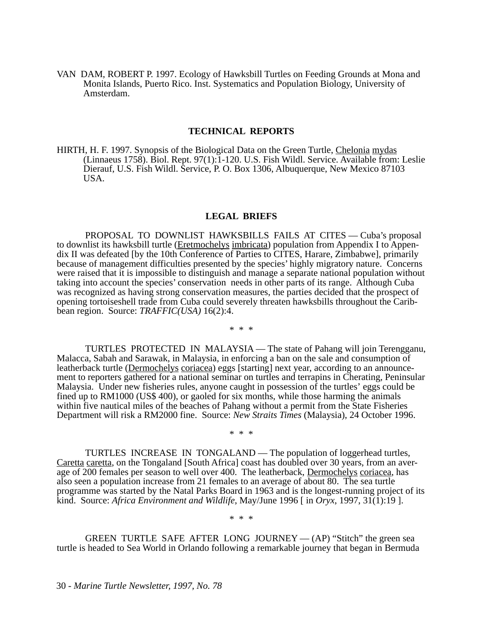VAN DAM, ROBERT P. 1997. Ecology of Hawksbill Turtles on Feeding Grounds at Mona and Monita Islands, Puerto Rico. Inst. Systematics and Population Biology, University of Amsterdam.

# **TECHNICAL REPORTS**

HIRTH, H. F. 1997. Synopsis of the Biological Data on the Green Turtle, Chelonia mydas (Linnaeus 1758). Biol. Rept. 97(1):1-120. U.S. Fish Wildl. Service. Available from: Leslie Dierauf, U.S. Fish Wildl. Service, P. O. Box 1306, Albuquerque, New Mexico 87103 USA.

#### **LEGAL BRIEFS**

PROPOSAL TO DOWNLIST HAWKSBILLS FAILS AT CITES — Cuba's proposal to downlist its hawksbill turtle (Eretmochelys imbricata) population from Appendix I to Appendix II was defeated [by the 10th Conference of Parties to CITES, Harare, Zimbabwe], primarily because of management difficulties presented by the species' highly migratory nature. Concerns were raised that it is impossible to distinguish and manage a separate national population without taking into account the species' conservation needs in other parts of its range. Although Cuba was recognized as having strong conservation measures, the parties decided that the prospect of opening tortoiseshell trade from Cuba could severely threaten hawksbills throughout the Caribbean region. Source: *TRAFFIC(USA)* 16(2):4.

\* \* \*

TURTLES PROTECTED IN MALAYSIA — The state of Pahang will join Terengganu, Malacca, Sabah and Sarawak, in Malaysia, in enforcing a ban on the sale and consumption of leatherback turtle (Dermochelys coriacea) eggs [starting] next year, according to an announcement to reporters gathered for a national seminar on turtles and terrapins in Cherating, Peninsular Malaysia. Under new fisheries rules, anyone caught in possession of the turtles' eggs could be fined up to RM1000 (US\$ 400), or gaoled for six months, while those harming the animals within five nautical miles of the beaches of Pahang without a permit from the State Fisheries Department will risk a RM2000 fine. Source: *New Straits Times* (Malaysia), 24 October 1996.

\* \* \*

TURTLES INCREASE IN TONGALAND — The population of loggerhead turtles, Caretta caretta, on the Tongaland [South Africa] coast has doubled over 30 years, from an average of 200 females per season to well over 400. The leatherback, Dermochelys coriacea, has also seen a population increase from 21 females to an average of about 80. The sea turtle programme was started by the Natal Parks Board in 1963 and is the longest-running project of its kind. Source: *Africa Environment and Wildlife*, May/June 1996 [ in *Oryx*, 1997, 31(1):19 ].

\* \* \*

GREEN TURTLE SAFE AFTER LONG JOURNEY  $-$  (AP) "Stitch" the green sea turtle is headed to Sea World in Orlando following a remarkable journey that began in Bermuda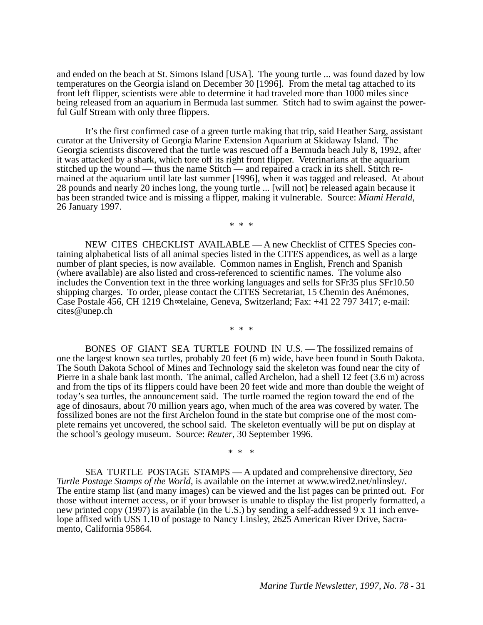and ended on the beach at St. Simons Island [USA]. The young turtle ... was found dazed by low temperatures on the Georgia island on December 30 [1996]. From the metal tag attached to its front left flipper, scientists were able to determine it had traveled more than 1000 miles since being released from an aquarium in Bermuda last summer. Stitch had to swim against the powerful Gulf Stream with only three flippers.

It's the first confirmed case of a green turtle making that trip, said Heather Sarg, assistant curator at the University of Georgia Marine Extension Aquarium at Skidaway Island. The Georgia scientists discovered that the turtle was rescued off a Bermuda beach July 8, 1992, after it was attacked by a shark, which tore off its right front flipper. Veterinarians at the aquarium stitched up the wound — thus the name Stitch — and repaired a crack in its shell. Stitch remained at the aquarium until late last summer [1996], when it was tagged and released. At about 28 pounds and nearly 20 inches long, the young turtle ... [will not] be released again because it has been stranded twice and is missing a flipper, making it vulnerable. Source: *Miami Herald*, 26 January 1997.

\* \* \*

NEW CITES CHECKLIST AVAILABLE — A new Checklist of CITES Species containing alphabetical lists of all animal species listed in the CITES appendices, as well as a large number of plant species, is now available. Common names in English, French and Spanish (where available) are also listed and cross-referenced to scientific names. The volume also includes the Convention text in the three working languages and sells for SFr35 plus SFr10.50 shipping charges. To order, please contact the CITES Secretariat, 15 Chemin des Anémones, Case Postale 456, CH 1219 Ch∞telaine, Geneva, Switzerland; Fax: +41 22 797 3417; e-mail: cites@unep.ch

\* \* \*

BONES OF GIANT SEA TURTLE FOUND IN U.S. — The fossilized remains of one the largest known sea turtles, probably 20 feet (6 m) wide, have been found in South Dakota. The South Dakota School of Mines and Technology said the skeleton was found near the city of Pierre in a shale bank last month. The animal, called Archelon, had a shell 12 feet (3.6 m) across and from the tips of its flippers could have been 20 feet wide and more than double the weight of today's sea turtles, the announcement said. The turtle roamed the region toward the end of the age of dinosaurs, about 70 million years ago, when much of the area was covered by water. The fossilized bones are not the first Archelon found in the state but comprise one of the most complete remains yet uncovered, the school said. The skeleton eventually will be put on display at the school's geology museum. Source: *Reuter*, 30 September 1996.

\* \* \*

SEA TURTLE POSTAGE STAMPS — A updated and comprehensive directory, *Sea Turtle Postage Stamps of the World*, is available on the internet at www.wired2.net/nlinsley/. The entire stamp list (and many images) can be viewed and the list pages can be printed out. For those without internet access, or if your browser is unable to display the list properly formatted, a new printed copy (1997) is available (in the U.S.) by sending a self-addressed 9 x 11 inch envelope affixed with US\$ 1.10 of postage to Nancy Linsley, 2625 American River Drive, Sacramento, California 95864.